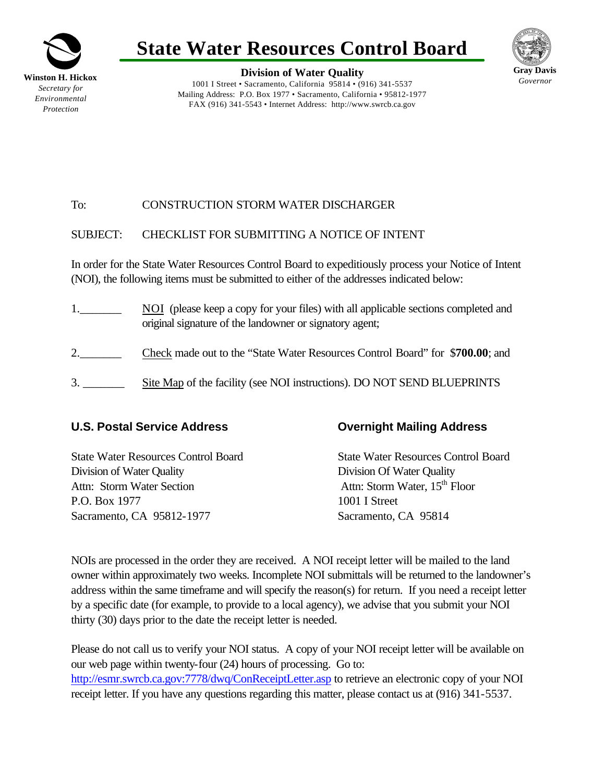

# **State Water Resources Control Board**

**Division of Water Quality** 1001 I Street • Sacramento, California 95814 • (916) 341-5537 Mailing Address: P.O. Box 1977 • Sacramento, California • 95812-1977 FAX (916) 341-5543 • Internet Address: http://www.swrcb.ca.gov



### To: CONSTRUCTION STORM WATER DISCHARGER

#### SUBJECT: CHECKLIST FOR SUBMITTING A NOTICE OF INTENT

In order for the State Water Resources Control Board to expeditiously process your Notice of Intent (NOI), the following items must be submitted to either of the addresses indicated below:

1.\_\_\_\_\_\_\_ NOI (please keep a copy for your files) with all applicable sections completed and original signature of the landowner or signatory agent; 2.\_\_\_\_\_\_\_ Check made out to the "State Water Resources Control Board" for \$**700.00**; and 3. \_\_\_\_\_\_\_ Site Map of the facility (see NOI instructions). DO NOT SEND BLUEPRINTS

#### **U.S. Postal Service Address Overnight Mailing Address**

State Water Resources Control Board State Water Resources Control Board Division of Water Quality Division Of Water Quality Attn: Storm Water Section Attn: Storm Water, 15<sup>th</sup> Floor P.O. Box 1977 1001 I Street Sacramento, CA 95812-1977 Sacramento, CA 95814

NOIs are processed in the order they are received. A NOI receipt letter will be mailed to the land owner within approximately two weeks. Incomplete NOI submittals will be returned to the landowner's address within the same timeframe and will specify the reason(s) for return. If you need a receipt letter by a specific date (for example, to provide to a local agency), we advise that you submit your NOI thirty (30) days prior to the date the receipt letter is needed.

Please do not call us to verify your NOI status. A copy of your NOI receipt letter will be available on our web page within twenty-four (24) hours of processing. Go to: http://esmr.swrcb.ca.gov:7778/dwq/ConReceiptLetter.asp to retrieve an electronic copy of your NOI receipt letter. If you have any questions regarding this matter, please contact us at (916) 341-5537.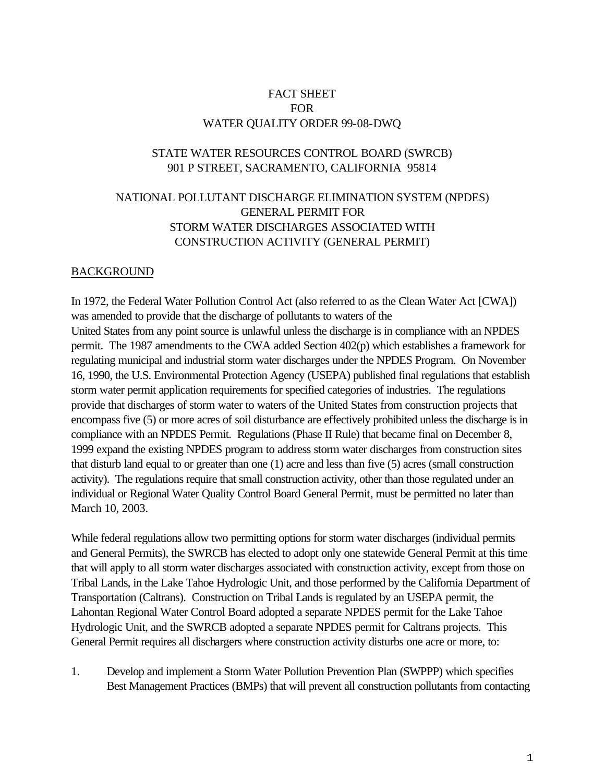#### FACT SHEET FOR WATER QUALITY ORDER 99-08-DWQ

#### STATE WATER RESOURCES CONTROL BOARD (SWRCB) 901 P STREET, SACRAMENTO, CALIFORNIA 95814

## NATIONAL POLLUTANT DISCHARGE ELIMINATION SYSTEM (NPDES) GENERAL PERMIT FOR STORM WATER DISCHARGES ASSOCIATED WITH CONSTRUCTION ACTIVITY (GENERAL PERMIT)

#### BACKGROUND

In 1972, the Federal Water Pollution Control Act (also referred to as the Clean Water Act [CWA]) was amended to provide that the discharge of pollutants to waters of the United States from any point source is unlawful unless the discharge is in compliance with an NPDES permit. The 1987 amendments to the CWA added Section 402(p) which establishes a framework for regulating municipal and industrial storm water discharges under the NPDES Program. On November 16, 1990, the U.S. Environmental Protection Agency (USEPA) published final regulations that establish storm water permit application requirements for specified categories of industries. The regulations provide that discharges of storm water to waters of the United States from construction projects that encompass five (5) or more acres of soil disturbance are effectively prohibited unless the discharge is in compliance with an NPDES Permit. Regulations (Phase II Rule) that became final on December 8, 1999 expand the existing NPDES program to address storm water discharges from construction sites that disturb land equal to or greater than one (1) acre and less than five (5) acres (small construction activity). The regulations require that small construction activity, other than those regulated under an individual or Regional Water Quality Control Board General Permit, must be permitted no later than March 10, 2003.

While federal regulations allow two permitting options for storm water discharges (individual permits and General Permits), the SWRCB has elected to adopt only one statewide General Permit at this time that will apply to all storm water discharges associated with construction activity, except from those on Tribal Lands, in the Lake Tahoe Hydrologic Unit, and those performed by the California Department of Transportation (Caltrans). Construction on Tribal Lands is regulated by an USEPA permit, the Lahontan Regional Water Control Board adopted a separate NPDES permit for the Lake Tahoe Hydrologic Unit, and the SWRCB adopted a separate NPDES permit for Caltrans projects. This General Permit requires all dischargers where construction activity disturbs one acre or more, to:

1. Develop and implement a Storm Water Pollution Prevention Plan (SWPPP) which specifies Best Management Practices (BMPs) that will prevent all construction pollutants from contacting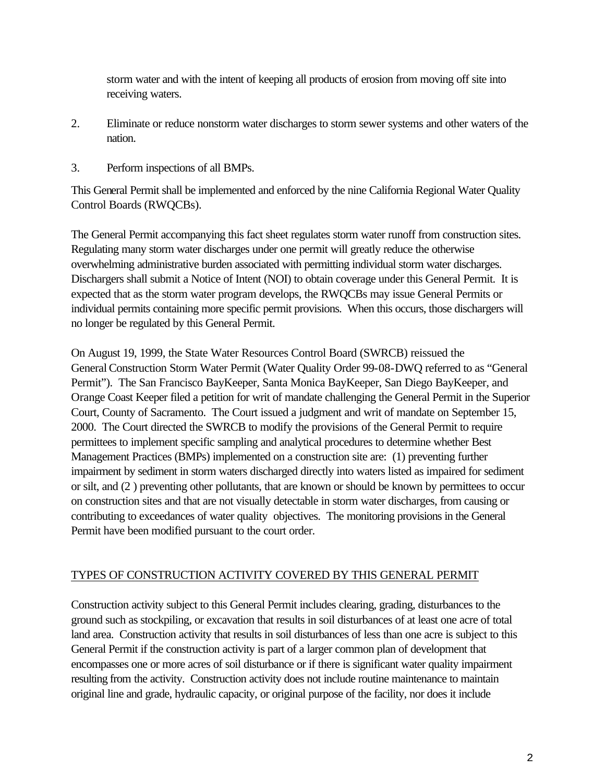storm water and with the intent of keeping all products of erosion from moving off site into receiving waters.

- 2. Eliminate or reduce nonstorm water discharges to storm sewer systems and other waters of the nation.
- 3. Perform inspections of all BMPs.

This General Permit shall be implemented and enforced by the nine California Regional Water Quality Control Boards (RWQCBs).

The General Permit accompanying this fact sheet regulates storm water runoff from construction sites. Regulating many storm water discharges under one permit will greatly reduce the otherwise overwhelming administrative burden associated with permitting individual storm water discharges. Dischargers shall submit a Notice of Intent (NOI) to obtain coverage under this General Permit. It is expected that as the storm water program develops, the RWQCBs may issue General Permits or individual permits containing more specific permit provisions. When this occurs, those dischargers will no longer be regulated by this General Permit.

On August 19, 1999, the State Water Resources Control Board (SWRCB) reissued the General Construction Storm Water Permit (Water Quality Order 99-08-DWQ referred to as "General Permit"). The San Francisco BayKeeper, Santa Monica BayKeeper, San Diego BayKeeper, and Orange Coast Keeper filed a petition for writ of mandate challenging the General Permit in the Superior Court, County of Sacramento. The Court issued a judgment and writ of mandate on September 15, 2000. The Court directed the SWRCB to modify the provisions of the General Permit to require permittees to implement specific sampling and analytical procedures to determine whether Best Management Practices (BMPs) implemented on a construction site are: (1) preventing further impairment by sediment in storm waters discharged directly into waters listed as impaired for sediment or silt, and (2 ) preventing other pollutants, that are known or should be known by permittees to occur on construction sites and that are not visually detectable in storm water discharges, from causing or contributing to exceedances of water quality objectives. The monitoring provisions in the General Permit have been modified pursuant to the court order.

# TYPES OF CONSTRUCTION ACTIVITY COVERED BY THIS GENERAL PERMIT

Construction activity subject to this General Permit includes clearing, grading, disturbances to the ground such as stockpiling, or excavation that results in soil disturbances of at least one acre of total land area. Construction activity that results in soil disturbances of less than one acre is subject to this General Permit if the construction activity is part of a larger common plan of development that encompasses one or more acres of soil disturbance or if there is significant water quality impairment resulting from the activity. Construction activity does not include routine maintenance to maintain original line and grade, hydraulic capacity, or original purpose of the facility, nor does it include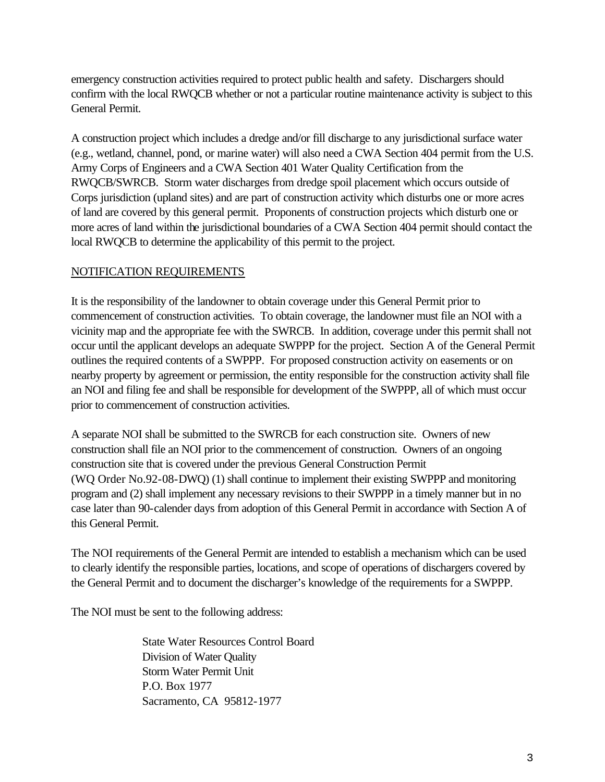emergency construction activities required to protect public health and safety. Dischargers should confirm with the local RWQCB whether or not a particular routine maintenance activity is subject to this General Permit.

A construction project which includes a dredge and/or fill discharge to any jurisdictional surface water (e.g., wetland, channel, pond, or marine water) will also need a CWA Section 404 permit from the U.S. Army Corps of Engineers and a CWA Section 401 Water Quality Certification from the RWQCB/SWRCB. Storm water discharges from dredge spoil placement which occurs outside of Corps jurisdiction (upland sites) and are part of construction activity which disturbs one or more acres of land are covered by this general permit. Proponents of construction projects which disturb one or more acres of land within the jurisdictional boundaries of a CWA Section 404 permit should contact the local RWQCB to determine the applicability of this permit to the project.

### NOTIFICATION REQUIREMENTS

It is the responsibility of the landowner to obtain coverage under this General Permit prior to commencement of construction activities. To obtain coverage, the landowner must file an NOI with a vicinity map and the appropriate fee with the SWRCB. In addition, coverage under this permit shall not occur until the applicant develops an adequate SWPPP for the project. Section A of the General Permit outlines the required contents of a SWPPP. For proposed construction activity on easements or on nearby property by agreement or permission, the entity responsible for the construction activity shall file an NOI and filing fee and shall be responsible for development of the SWPPP, all of which must occur prior to commencement of construction activities.

A separate NOI shall be submitted to the SWRCB for each construction site. Owners of new construction shall file an NOI prior to the commencement of construction. Owners of an ongoing construction site that is covered under the previous General Construction Permit (WQ Order No.92-08-DWQ) (1) shall continue to implement their existing SWPPP and monitoring program and (2) shall implement any necessary revisions to their SWPPP in a timely manner but in no case later than 90-calender days from adoption of this General Permit in accordance with Section A of this General Permit.

The NOI requirements of the General Permit are intended to establish a mechanism which can be used to clearly identify the responsible parties, locations, and scope of operations of dischargers covered by the General Permit and to document the discharger's knowledge of the requirements for a SWPPP.

The NOI must be sent to the following address:

State Water Resources Control Board Division of Water Quality Storm Water Permit Unit P.O. Box 1977 Sacramento, CA 95812-1977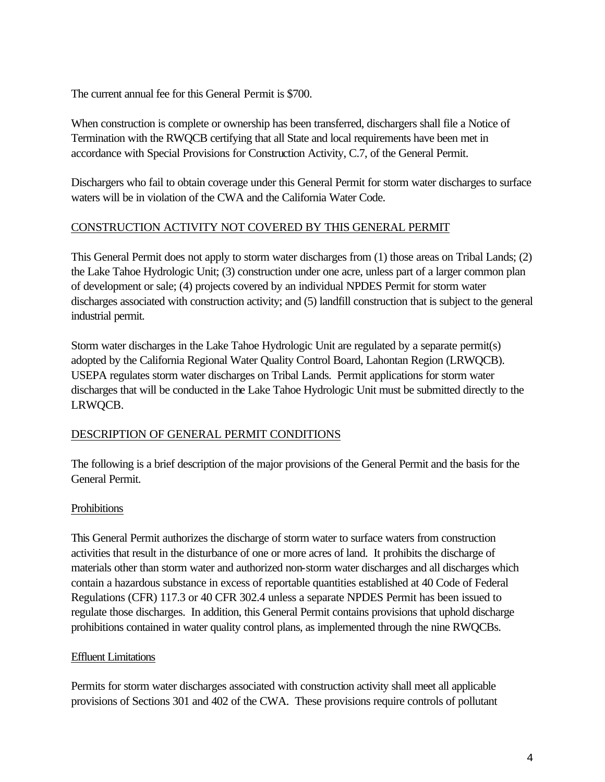The current annual fee for this General Permit is \$700.

When construction is complete or ownership has been transferred, dischargers shall file a Notice of Termination with the RWQCB certifying that all State and local requirements have been met in accordance with Special Provisions for Construction Activity, C.7, of the General Permit.

Dischargers who fail to obtain coverage under this General Permit for storm water discharges to surface waters will be in violation of the CWA and the California Water Code.

### CONSTRUCTION ACTIVITY NOT COVERED BY THIS GENERAL PERMIT

This General Permit does not apply to storm water discharges from (1) those areas on Tribal Lands; (2) the Lake Tahoe Hydrologic Unit; (3) construction under one acre, unless part of a larger common plan of development or sale; (4) projects covered by an individual NPDES Permit for storm water discharges associated with construction activity; and (5) landfill construction that is subject to the general industrial permit.

Storm water discharges in the Lake Tahoe Hydrologic Unit are regulated by a separate permit(s) adopted by the California Regional Water Quality Control Board, Lahontan Region (LRWQCB). USEPA regulates storm water discharges on Tribal Lands. Permit applications for storm water discharges that will be conducted in the Lake Tahoe Hydrologic Unit must be submitted directly to the LRWQCB.

#### DESCRIPTION OF GENERAL PERMIT CONDITIONS

The following is a brief description of the major provisions of the General Permit and the basis for the General Permit.

#### Prohibitions

This General Permit authorizes the discharge of storm water to surface waters from construction activities that result in the disturbance of one or more acres of land. It prohibits the discharge of materials other than storm water and authorized non-storm water discharges and all discharges which contain a hazardous substance in excess of reportable quantities established at 40 Code of Federal Regulations (CFR) 117.3 or 40 CFR 302.4 unless a separate NPDES Permit has been issued to regulate those discharges. In addition, this General Permit contains provisions that uphold discharge prohibitions contained in water quality control plans, as implemented through the nine RWQCBs.

#### Effluent Limitations

Permits for storm water discharges associated with construction activity shall meet all applicable provisions of Sections 301 and 402 of the CWA. These provisions require controls of pollutant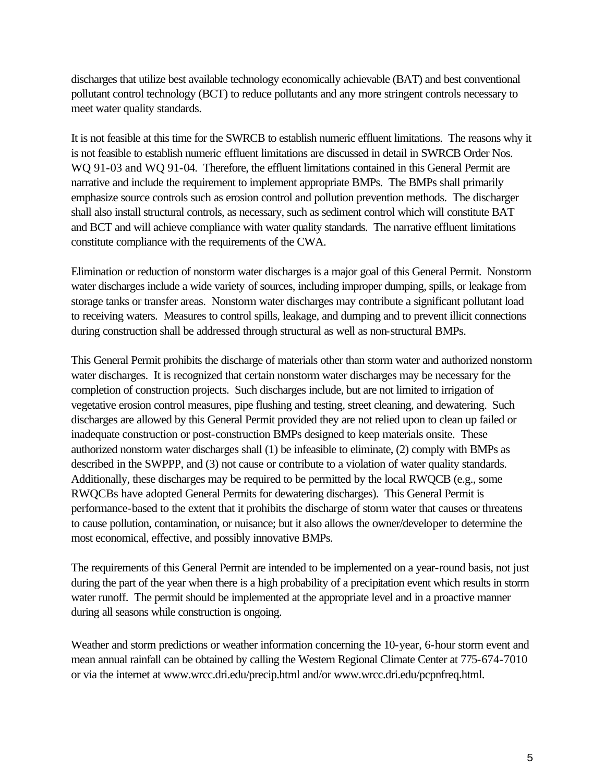discharges that utilize best available technology economically achievable (BAT) and best conventional pollutant control technology (BCT) to reduce pollutants and any more stringent controls necessary to meet water quality standards.

It is not feasible at this time for the SWRCB to establish numeric effluent limitations. The reasons why it is not feasible to establish numeric effluent limitations are discussed in detail in SWRCB Order Nos. WQ 91-03 and WQ 91-04. Therefore, the effluent limitations contained in this General Permit are narrative and include the requirement to implement appropriate BMPs. The BMPs shall primarily emphasize source controls such as erosion control and pollution prevention methods. The discharger shall also install structural controls, as necessary, such as sediment control which will constitute BAT and BCT and will achieve compliance with water quality standards. The narrative effluent limitations constitute compliance with the requirements of the CWA.

Elimination or reduction of nonstorm water discharges is a major goal of this General Permit. Nonstorm water discharges include a wide variety of sources, including improper dumping, spills, or leakage from storage tanks or transfer areas. Nonstorm water discharges may contribute a significant pollutant load to receiving waters. Measures to control spills, leakage, and dumping and to prevent illicit connections during construction shall be addressed through structural as well as non-structural BMPs.

This General Permit prohibits the discharge of materials other than storm water and authorized nonstorm water discharges. It is recognized that certain nonstorm water discharges may be necessary for the completion of construction projects. Such discharges include, but are not limited to irrigation of vegetative erosion control measures, pipe flushing and testing, street cleaning, and dewatering. Such discharges are allowed by this General Permit provided they are not relied upon to clean up failed or inadequate construction or post-construction BMPs designed to keep materials onsite. These authorized nonstorm water discharges shall (1) be infeasible to eliminate, (2) comply with BMPs as described in the SWPPP, and (3) not cause or contribute to a violation of water quality standards. Additionally, these discharges may be required to be permitted by the local RWQCB (e.g., some RWQCBs have adopted General Permits for dewatering discharges). This General Permit is performance-based to the extent that it prohibits the discharge of storm water that causes or threatens to cause pollution, contamination, or nuisance; but it also allows the owner/developer to determine the most economical, effective, and possibly innovative BMPs.

The requirements of this General Permit are intended to be implemented on a year-round basis, not just during the part of the year when there is a high probability of a precipitation event which results in storm water runoff. The permit should be implemented at the appropriate level and in a proactive manner during all seasons while construction is ongoing.

Weather and storm predictions or weather information concerning the 10-year, 6-hour storm event and mean annual rainfall can be obtained by calling the Western Regional Climate Center at 775-674-7010 or via the internet at www.wrcc.dri.edu/precip.html and/or www.wrcc.dri.edu/pcpnfreq.html.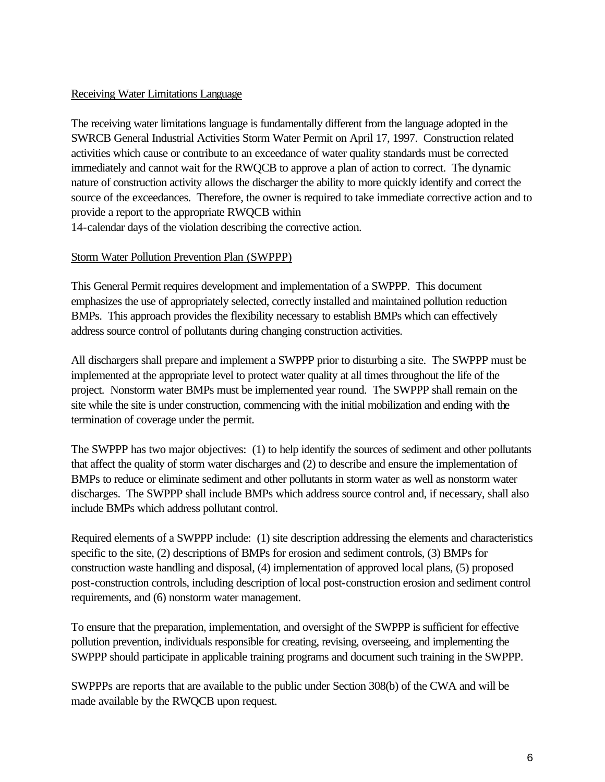#### Receiving Water Limitations Language

The receiving water limitations language is fundamentally different from the language adopted in the SWRCB General Industrial Activities Storm Water Permit on April 17, 1997. Construction related activities which cause or contribute to an exceedance of water quality standards must be corrected immediately and cannot wait for the RWQCB to approve a plan of action to correct. The dynamic nature of construction activity allows the discharger the ability to more quickly identify and correct the source of the exceedances. Therefore, the owner is required to take immediate corrective action and to provide a report to the appropriate RWQCB within

14-calendar days of the violation describing the corrective action.

#### Storm Water Pollution Prevention Plan (SWPPP)

This General Permit requires development and implementation of a SWPPP. This document emphasizes the use of appropriately selected, correctly installed and maintained pollution reduction BMPs. This approach provides the flexibility necessary to establish BMPs which can effectively address source control of pollutants during changing construction activities.

All dischargers shall prepare and implement a SWPPP prior to disturbing a site. The SWPPP must be implemented at the appropriate level to protect water quality at all times throughout the life of the project. Nonstorm water BMPs must be implemented year round. The SWPPP shall remain on the site while the site is under construction, commencing with the initial mobilization and ending with the termination of coverage under the permit.

The SWPPP has two major objectives: (1) to help identify the sources of sediment and other pollutants that affect the quality of storm water discharges and (2) to describe and ensure the implementation of BMPs to reduce or eliminate sediment and other pollutants in storm water as well as nonstorm water discharges. The SWPPP shall include BMPs which address source control and, if necessary, shall also include BMPs which address pollutant control.

Required elements of a SWPPP include: (1) site description addressing the elements and characteristics specific to the site, (2) descriptions of BMPs for erosion and sediment controls, (3) BMPs for construction waste handling and disposal, (4) implementation of approved local plans, (5) proposed post-construction controls, including description of local post-construction erosion and sediment control requirements, and (6) nonstorm water management.

To ensure that the preparation, implementation, and oversight of the SWPPP is sufficient for effective pollution prevention, individuals responsible for creating, revising, overseeing, and implementing the SWPPP should participate in applicable training programs and document such training in the SWPPP.

SWPPPs are reports that are available to the public under Section 308(b) of the CWA and will be made available by the RWQCB upon request.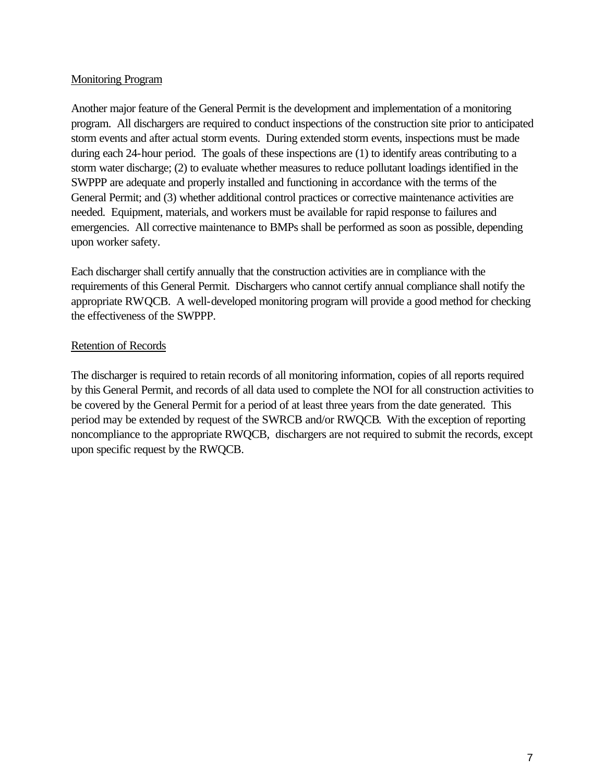#### Monitoring Program

Another major feature of the General Permit is the development and implementation of a monitoring program. All dischargers are required to conduct inspections of the construction site prior to anticipated storm events and after actual storm events. During extended storm events, inspections must be made during each 24-hour period. The goals of these inspections are (1) to identify areas contributing to a storm water discharge; (2) to evaluate whether measures to reduce pollutant loadings identified in the SWPPP are adequate and properly installed and functioning in accordance with the terms of the General Permit; and (3) whether additional control practices or corrective maintenance activities are needed. Equipment, materials, and workers must be available for rapid response to failures and emergencies. All corrective maintenance to BMPs shall be performed as soon as possible, depending upon worker safety.

Each discharger shall certify annually that the construction activities are in compliance with the requirements of this General Permit. Dischargers who cannot certify annual compliance shall notify the appropriate RWQCB. A well-developed monitoring program will provide a good method for checking the effectiveness of the SWPPP.

#### Retention of Records

The discharger is required to retain records of all monitoring information, copies of all reports required by this General Permit, and records of all data used to complete the NOI for all construction activities to be covered by the General Permit for a period of at least three years from the date generated. This period may be extended by request of the SWRCB and/or RWQCB. With the exception of reporting noncompliance to the appropriate RWQCB, dischargers are not required to submit the records, except upon specific request by the RWQCB.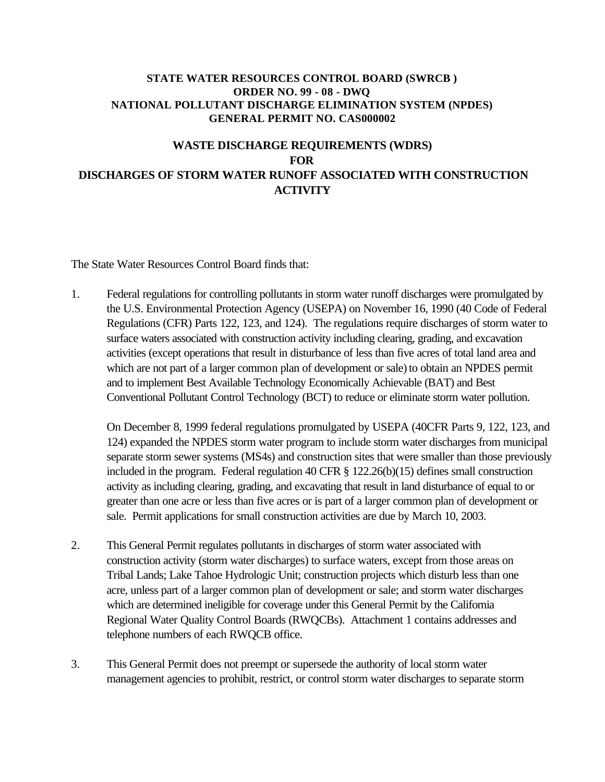#### **STATE WATER RESOURCES CONTROL BOARD (SWRCB ) ORDER NO. 99 - 08 - DWQ NATIONAL POLLUTANT DISCHARGE ELIMINATION SYSTEM (NPDES) GENERAL PERMIT NO. CAS000002**

# **WASTE DISCHARGE REQUIREMENTS (WDRS) FOR DISCHARGES OF STORM WATER RUNOFF ASSOCIATED WITH CONSTRUCTION ACTIVITY**

The State Water Resources Control Board finds that:

1. Federal regulations for controlling pollutants in storm water runoff discharges were promulgated by the U.S. Environmental Protection Agency (USEPA) on November 16, 1990 (40 Code of Federal Regulations (CFR) Parts 122, 123, and 124). The regulations require discharges of storm water to surface waters associated with construction activity including clearing, grading, and excavation activities (except operations that result in disturbance of less than five acres of total land area and which are not part of a larger common plan of development or sale) to obtain an NPDES permit and to implement Best Available Technology Economically Achievable (BAT) and Best Conventional Pollutant Control Technology (BCT) to reduce or eliminate storm water pollution.

On December 8, 1999 federal regulations promulgated by USEPA (40CFR Parts 9, 122, 123, and 124) expanded the NPDES storm water program to include storm water discharges from municipal separate storm sewer systems (MS4s) and construction sites that were smaller than those previously included in the program. Federal regulation 40 CFR § 122.26(b)(15) defines small construction activity as including clearing, grading, and excavating that result in land disturbance of equal to or greater than one acre or less than five acres or is part of a larger common plan of development or sale. Permit applications for small construction activities are due by March 10, 2003.

- 2. This General Permit regulates pollutants in discharges of storm water associated with construction activity (storm water discharges) to surface waters, except from those areas on Tribal Lands; Lake Tahoe Hydrologic Unit; construction projects which disturb less than one acre, unless part of a larger common plan of development or sale; and storm water discharges which are determined ineligible for coverage under this General Permit by the California Regional Water Quality Control Boards (RWQCBs). Attachment 1 contains addresses and telephone numbers of each RWQCB office.
- 3. This General Permit does not preempt or supersede the authority of local storm water management agencies to prohibit, restrict, or control storm water discharges to separate storm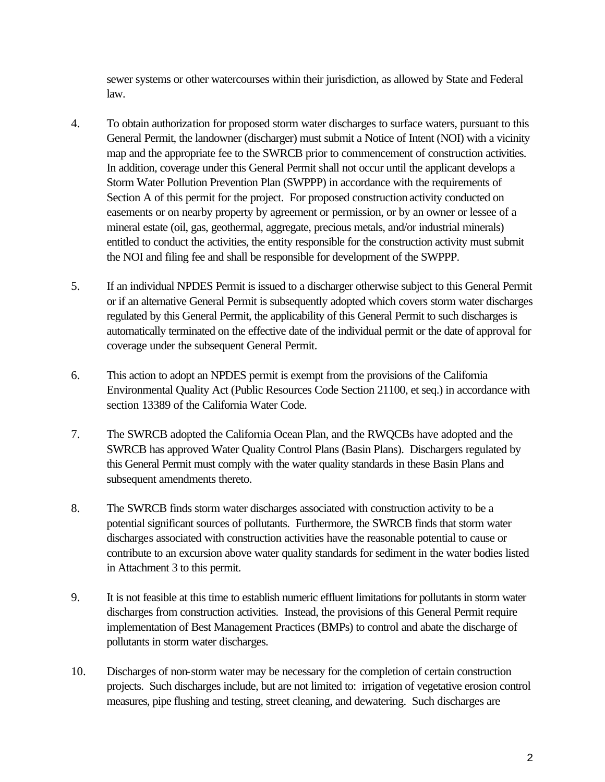sewer systems or other watercourses within their jurisdiction, as allowed by State and Federal law.

- 4. To obtain authorization for proposed storm water discharges to surface waters, pursuant to this General Permit, the landowner (discharger) must submit a Notice of Intent (NOI) with a vicinity map and the appropriate fee to the SWRCB prior to commencement of construction activities. In addition, coverage under this General Permit shall not occur until the applicant develops a Storm Water Pollution Prevention Plan (SWPPP) in accordance with the requirements of Section A of this permit for the project. For proposed construction activity conducted on easements or on nearby property by agreement or permission, or by an owner or lessee of a mineral estate (oil, gas, geothermal, aggregate, precious metals, and/or industrial minerals) entitled to conduct the activities, the entity responsible for the construction activity must submit the NOI and filing fee and shall be responsible for development of the SWPPP.
- 5. If an individual NPDES Permit is issued to a discharger otherwise subject to this General Permit or if an alternative General Permit is subsequently adopted which covers storm water discharges regulated by this General Permit, the applicability of this General Permit to such discharges is automatically terminated on the effective date of the individual permit or the date of approval for coverage under the subsequent General Permit.
- 6. This action to adopt an NPDES permit is exempt from the provisions of the California Environmental Quality Act (Public Resources Code Section 21100, et seq.) in accordance with section 13389 of the California Water Code.
- 7. The SWRCB adopted the California Ocean Plan, and the RWQCBs have adopted and the SWRCB has approved Water Quality Control Plans (Basin Plans). Dischargers regulated by this General Permit must comply with the water quality standards in these Basin Plans and subsequent amendments thereto.
- 8. The SWRCB finds storm water discharges associated with construction activity to be a potential significant sources of pollutants. Furthermore, the SWRCB finds that storm water discharges associated with construction activities have the reasonable potential to cause or contribute to an excursion above water quality standards for sediment in the water bodies listed in Attachment 3 to this permit.
- 9. It is not feasible at this time to establish numeric effluent limitations for pollutants in storm water discharges from construction activities. Instead, the provisions of this General Permit require implementation of Best Management Practices (BMPs) to control and abate the discharge of pollutants in storm water discharges.
- 10. Discharges of non-storm water may be necessary for the completion of certain construction projects. Such discharges include, but are not limited to: irrigation of vegetative erosion control measures, pipe flushing and testing, street cleaning, and dewatering. Such discharges are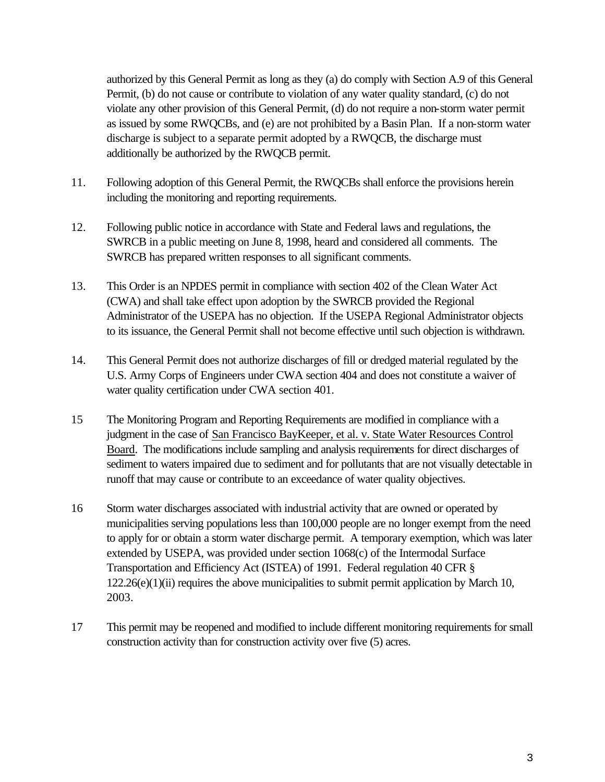authorized by this General Permit as long as they (a) do comply with Section A.9 of this General Permit, (b) do not cause or contribute to violation of any water quality standard, (c) do not violate any other provision of this General Permit, (d) do not require a non-storm water permit as issued by some RWQCBs, and (e) are not prohibited by a Basin Plan. If a non-storm water discharge is subject to a separate permit adopted by a RWQCB, the discharge must additionally be authorized by the RWQCB permit.

- 11. Following adoption of this General Permit, the RWQCBs shall enforce the provisions herein including the monitoring and reporting requirements.
- 12. Following public notice in accordance with State and Federal laws and regulations, the SWRCB in a public meeting on June 8, 1998, heard and considered all comments. The SWRCB has prepared written responses to all significant comments.
- 13. This Order is an NPDES permit in compliance with section 402 of the Clean Water Act (CWA) and shall take effect upon adoption by the SWRCB provided the Regional Administrator of the USEPA has no objection. If the USEPA Regional Administrator objects to its issuance, the General Permit shall not become effective until such objection is withdrawn.
- 14. This General Permit does not authorize discharges of fill or dredged material regulated by the U.S. Army Corps of Engineers under CWA section 404 and does not constitute a waiver of water quality certification under CWA section 401.
- 15 The Monitoring Program and Reporting Requirements are modified in compliance with a judgment in the case of San Francisco BayKeeper, et al. v. State Water Resources Control Board. The modifications include sampling and analysis requirements for direct discharges of sediment to waters impaired due to sediment and for pollutants that are not visually detectable in runoff that may cause or contribute to an exceedance of water quality objectives.
- 16 Storm water discharges associated with industrial activity that are owned or operated by municipalities serving populations less than 100,000 people are no longer exempt from the need to apply for or obtain a storm water discharge permit. A temporary exemption, which was later extended by USEPA, was provided under section 1068(c) of the Intermodal Surface Transportation and Efficiency Act (ISTEA) of 1991. Federal regulation 40 CFR § 122.26(e)(1)(ii) requires the above municipalities to submit permit application by March 10, 2003.
- 17 This permit may be reopened and modified to include different monitoring requirements for small construction activity than for construction activity over five (5) acres.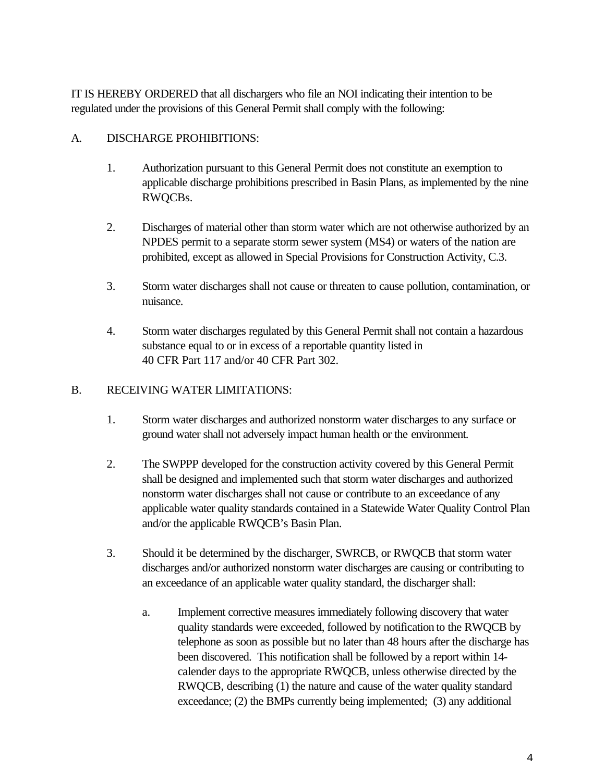IT IS HEREBY ORDERED that all dischargers who file an NOI indicating their intention to be regulated under the provisions of this General Permit shall comply with the following:

#### A. DISCHARGE PROHIBITIONS:

- 1. Authorization pursuant to this General Permit does not constitute an exemption to applicable discharge prohibitions prescribed in Basin Plans, as implemented by the nine RWQCBs.
- 2. Discharges of material other than storm water which are not otherwise authorized by an NPDES permit to a separate storm sewer system (MS4) or waters of the nation are prohibited, except as allowed in Special Provisions for Construction Activity, C.3.
- 3. Storm water discharges shall not cause or threaten to cause pollution, contamination, or nuisance.
- 4. Storm water discharges regulated by this General Permit shall not contain a hazardous substance equal to or in excess of a reportable quantity listed in 40 CFR Part 117 and/or 40 CFR Part 302.

#### B. RECEIVING WATER LIMITATIONS:

- 1. Storm water discharges and authorized nonstorm water discharges to any surface or ground water shall not adversely impact human health or the environment.
- 2. The SWPPP developed for the construction activity covered by this General Permit shall be designed and implemented such that storm water discharges and authorized nonstorm water discharges shall not cause or contribute to an exceedance of any applicable water quality standards contained in a Statewide Water Quality Control Plan and/or the applicable RWQCB's Basin Plan.
- 3. Should it be determined by the discharger, SWRCB, or RWQCB that storm water discharges and/or authorized nonstorm water discharges are causing or contributing to an exceedance of an applicable water quality standard, the discharger shall:
	- a. Implement corrective measures immediately following discovery that water quality standards were exceeded, followed by notification to the RWQCB by telephone as soon as possible but no later than 48 hours after the discharge has been discovered. This notification shall be followed by a report within 14 calender days to the appropriate RWQCB, unless otherwise directed by the RWQCB, describing (1) the nature and cause of the water quality standard exceedance; (2) the BMPs currently being implemented; (3) any additional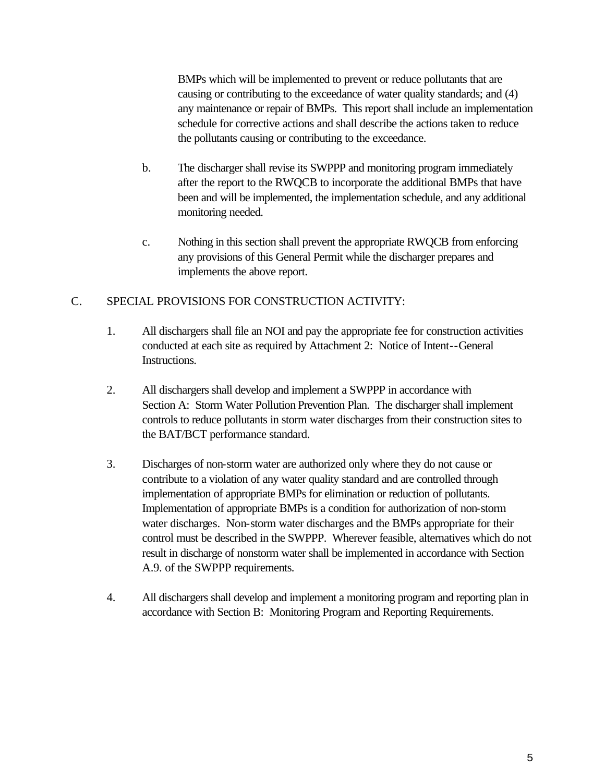BMPs which will be implemented to prevent or reduce pollutants that are causing or contributing to the exceedance of water quality standards; and (4) any maintenance or repair of BMPs. This report shall include an implementation schedule for corrective actions and shall describe the actions taken to reduce the pollutants causing or contributing to the exceedance.

- b. The discharger shall revise its SWPPP and monitoring program immediately after the report to the RWQCB to incorporate the additional BMPs that have been and will be implemented, the implementation schedule, and any additional monitoring needed.
- c. Nothing in this section shall prevent the appropriate RWQCB from enforcing any provisions of this General Permit while the discharger prepares and implements the above report.

### C. SPECIAL PROVISIONS FOR CONSTRUCTION ACTIVITY:

- 1. All dischargers shall file an NOI and pay the appropriate fee for construction activities conducted at each site as required by Attachment 2: Notice of Intent--General Instructions.
- 2. All dischargers shall develop and implement a SWPPP in accordance with Section A: Storm Water Pollution Prevention Plan. The discharger shall implement controls to reduce pollutants in storm water discharges from their construction sites to the BAT/BCT performance standard.
- 3. Discharges of non-storm water are authorized only where they do not cause or contribute to a violation of any water quality standard and are controlled through implementation of appropriate BMPs for elimination or reduction of pollutants. Implementation of appropriate BMPs is a condition for authorization of non-storm water discharges. Non-storm water discharges and the BMPs appropriate for their control must be described in the SWPPP. Wherever feasible, alternatives which do not result in discharge of nonstorm water shall be implemented in accordance with Section A.9. of the SWPPP requirements.
- 4. All dischargers shall develop and implement a monitoring program and reporting plan in accordance with Section B: Monitoring Program and Reporting Requirements.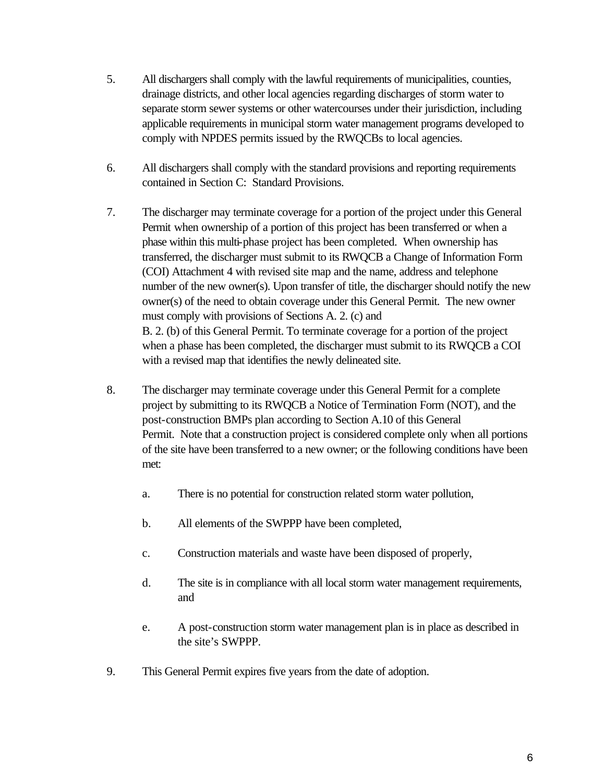- 5. All dischargers shall comply with the lawful requirements of municipalities, counties, drainage districts, and other local agencies regarding discharges of storm water to separate storm sewer systems or other watercourses under their jurisdiction, including applicable requirements in municipal storm water management programs developed to comply with NPDES permits issued by the RWQCBs to local agencies.
- 6. All dischargers shall comply with the standard provisions and reporting requirements contained in Section C: Standard Provisions.
- 7. The discharger may terminate coverage for a portion of the project under this General Permit when ownership of a portion of this project has been transferred or when a phase within this multi-phase project has been completed. When ownership has transferred, the discharger must submit to its RWQCB a Change of Information Form (COI) Attachment 4 with revised site map and the name, address and telephone number of the new owner(s). Upon transfer of title, the discharger should notify the new owner(s) of the need to obtain coverage under this General Permit. The new owner must comply with provisions of Sections A. 2. (c) and B. 2. (b) of this General Permit. To terminate coverage for a portion of the project when a phase has been completed, the discharger must submit to its RWQCB a COI with a revised map that identifies the newly delineated site.
- 8. The discharger may terminate coverage under this General Permit for a complete project by submitting to its RWQCB a Notice of Termination Form (NOT), and the post-construction BMPs plan according to Section A.10 of this General Permit. Note that a construction project is considered complete only when all portions of the site have been transferred to a new owner; or the following conditions have been met:
	- a. There is no potential for construction related storm water pollution,
	- b. All elements of the SWPPP have been completed,
	- c. Construction materials and waste have been disposed of properly,
	- d. The site is in compliance with all local storm water management requirements, and
	- e. A post-construction storm water management plan is in place as described in the site's SWPPP.
- 9. This General Permit expires five years from the date of adoption.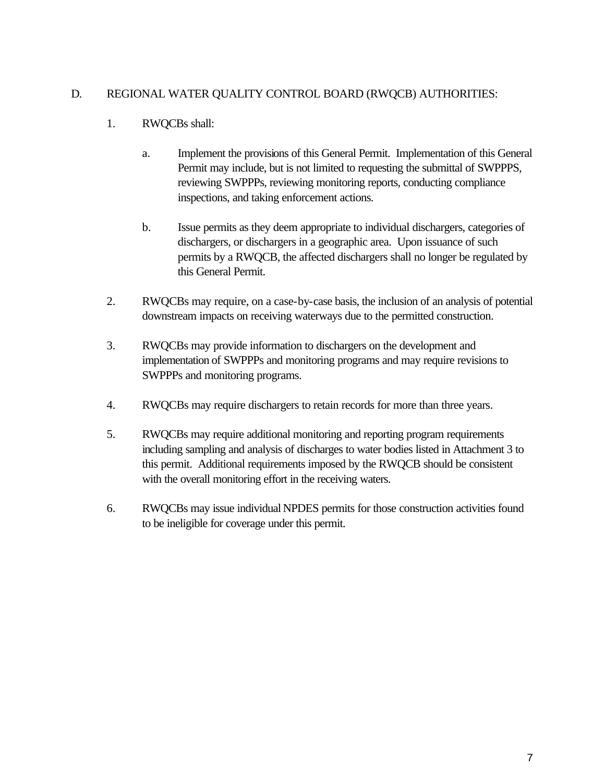#### D. REGIONAL WATER QUALITY CONTROL BOARD (RWQCB) AUTHORITIES:

### 1. RWQCBs shall:

- a. Implement the provisions of this General Permit. Implementation of this General Permit may include, but is not limited to requesting the submittal of SWPPPS, reviewing SWPPPs, reviewing monitoring reports, conducting compliance inspections, and taking enforcement actions.
- b. Issue permits as they deem appropriate to individual dischargers, categories of dischargers, or dischargers in a geographic area. Upon issuance of such permits by a RWQCB, the affected dischargers shall no longer be regulated by this General Permit.
- 2. RWQCBs may require, on a case-by-case basis, the inclusion of an analysis of potential downstream impacts on receiving waterways due to the permitted construction.
- 3. RWQCBs may provide information to dischargers on the development and implementation of SWPPPs and monitoring programs and may require revisions to SWPPPs and monitoring programs.
- 4. RWQCBs may require dischargers to retain records for more than three years.
- 5. RWQCBs may require additional monitoring and reporting program requirements including sampling and analysis of discharges to water bodies listed in Attachment 3 to this permit. Additional requirements imposed by the RWQCB should be consistent with the overall monitoring effort in the receiving waters.
- 6. RWQCBs may issue individual NPDES permits for those construction activities found to be ineligible for coverage under this permit.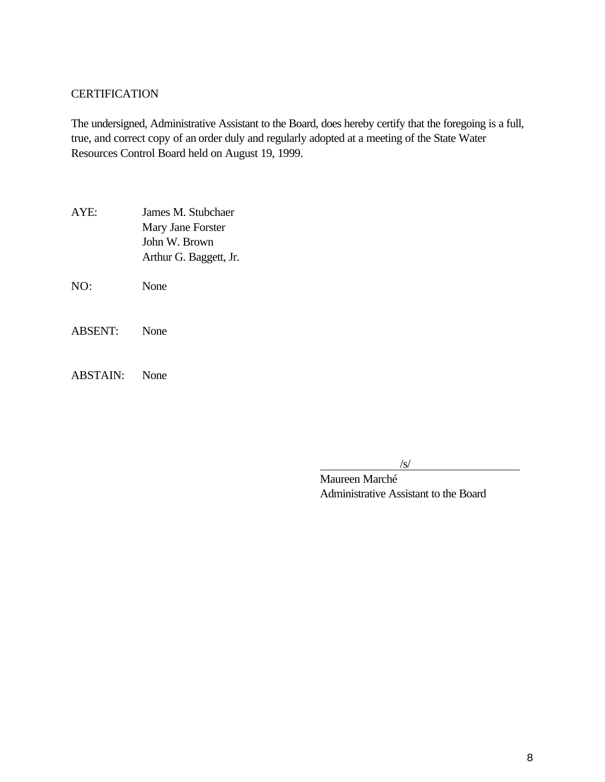#### **CERTIFICATION**

The undersigned, Administrative Assistant to the Board, does hereby certify that the foregoing is a full, true, and correct copy of an order duly and regularly adopted at a meeting of the State Water Resources Control Board held on August 19, 1999.

- AYE: James M. Stubchaer Mary Jane Forster John W. Brown Arthur G. Baggett, Jr.
- NO: None
- ABSENT: None
- ABSTAIN: None

/s/

Maureen Marché Administrative Assistant to the Board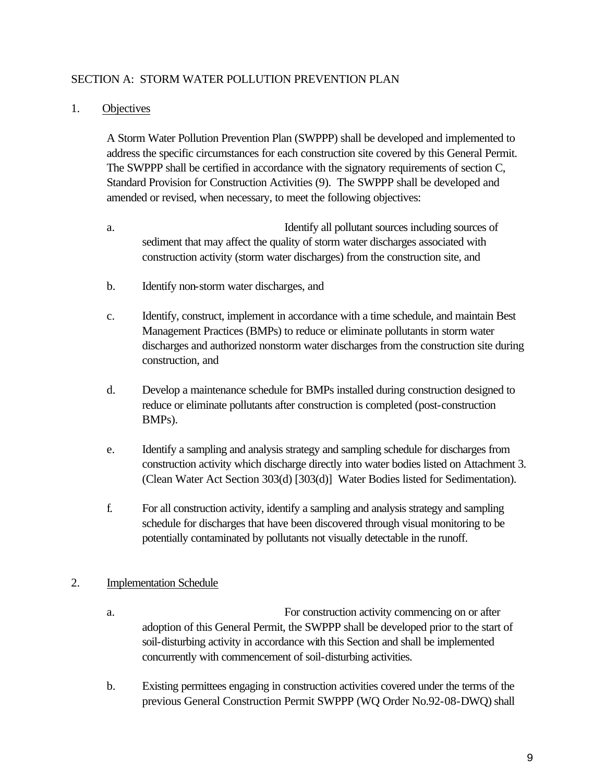#### SECTION A: STORM WATER POLLUTION PREVENTION PLAN

#### 1. Objectives

A Storm Water Pollution Prevention Plan (SWPPP) shall be developed and implemented to address the specific circumstances for each construction site covered by this General Permit. The SWPPP shall be certified in accordance with the signatory requirements of section C, Standard Provision for Construction Activities (9). The SWPPP shall be developed and amended or revised, when necessary, to meet the following objectives:

- a. Identify all pollutant sources including sources of sediment that may affect the quality of storm water discharges associated with construction activity (storm water discharges) from the construction site, and
- b. Identify non-storm water discharges, and
- c. Identify, construct, implement in accordance with a time schedule, and maintain Best Management Practices (BMPs) to reduce or eliminate pollutants in storm water discharges and authorized nonstorm water discharges from the construction site during construction, and
- d. Develop a maintenance schedule for BMPs installed during construction designed to reduce or eliminate pollutants after construction is completed (post-construction BMPs).
- e. Identify a sampling and analysis strategy and sampling schedule for discharges from construction activity which discharge directly into water bodies listed on Attachment 3. (Clean Water Act Section 303(d) [303(d)] Water Bodies listed for Sedimentation).
- f. For all construction activity, identify a sampling and analysis strategy and sampling schedule for discharges that have been discovered through visual monitoring to be potentially contaminated by pollutants not visually detectable in the runoff.

#### 2. Implementation Schedule

- a. For construction activity commencing on or after adoption of this General Permit, the SWPPP shall be developed prior to the start of soil-disturbing activity in accordance with this Section and shall be implemented concurrently with commencement of soil-disturbing activities.
- b. Existing permittees engaging in construction activities covered under the terms of the previous General Construction Permit SWPPP (WQ Order No.92-08-DWQ) shall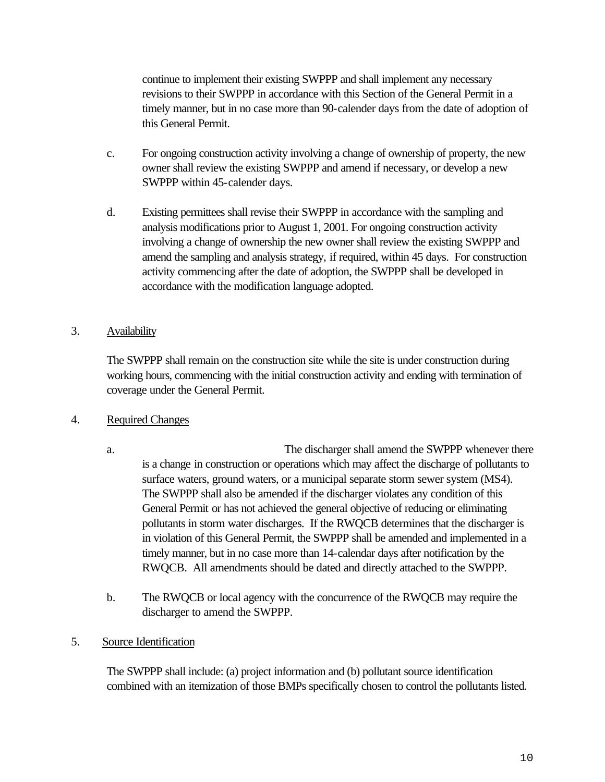continue to implement their existing SWPPP and shall implement any necessary revisions to their SWPPP in accordance with this Section of the General Permit in a timely manner, but in no case more than 90-calender days from the date of adoption of this General Permit.

- c. For ongoing construction activity involving a change of ownership of property, the new owner shall review the existing SWPPP and amend if necessary, or develop a new SWPPP within 45-calender days.
- d. Existing permittees shall revise their SWPPP in accordance with the sampling and analysis modifications prior to August 1, 2001. For ongoing construction activity involving a change of ownership the new owner shall review the existing SWPPP and amend the sampling and analysis strategy, if required, within 45 days. For construction activity commencing after the date of adoption, the SWPPP shall be developed in accordance with the modification language adopted.

#### 3. Availability

The SWPPP shall remain on the construction site while the site is under construction during working hours, commencing with the initial construction activity and ending with termination of coverage under the General Permit.

#### 4. Required Changes

- a. The discharger shall amend the SWPPP whenever there is a change in construction or operations which may affect the discharge of pollutants to surface waters, ground waters, or a municipal separate storm sewer system (MS4). The SWPPP shall also be amended if the discharger violates any condition of this General Permit or has not achieved the general objective of reducing or eliminating pollutants in storm water discharges. If the RWQCB determines that the discharger is in violation of this General Permit, the SWPPP shall be amended and implemented in a timely manner, but in no case more than 14-calendar days after notification by the RWQCB. All amendments should be dated and directly attached to the SWPPP.
- b. The RWQCB or local agency with the concurrence of the RWQCB may require the discharger to amend the SWPPP.
- 5. Source Identification

The SWPPP shall include: (a) project information and (b) pollutant source identification combined with an itemization of those BMPs specifically chosen to control the pollutants listed.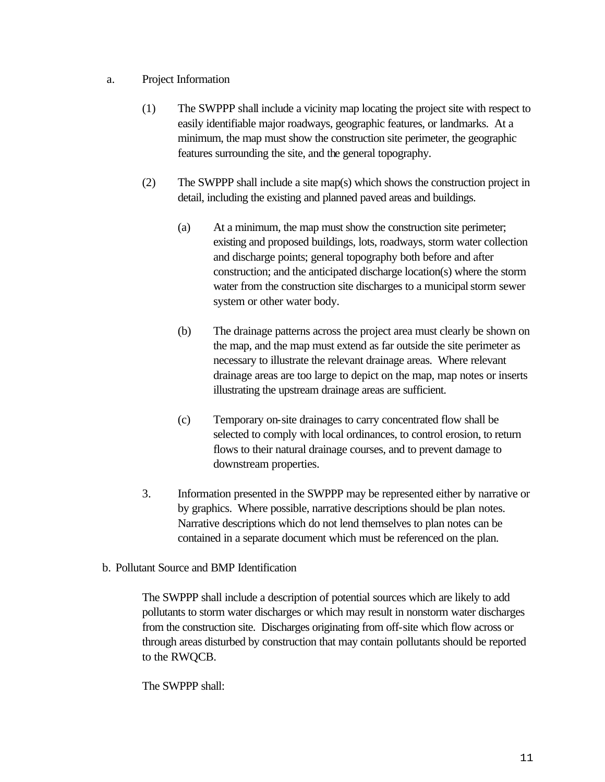#### a. Project Information

- (1) The SWPPP shall include a vicinity map locating the project site with respect to easily identifiable major roadways, geographic features, or landmarks. At a minimum, the map must show the construction site perimeter, the geographic features surrounding the site, and the general topography.
- (2) The SWPPP shall include a site map(s) which shows the construction project in detail, including the existing and planned paved areas and buildings.
	- (a) At a minimum, the map must show the construction site perimeter; existing and proposed buildings, lots, roadways, storm water collection and discharge points; general topography both before and after construction; and the anticipated discharge location(s) where the storm water from the construction site discharges to a municipal storm sewer system or other water body.
	- (b) The drainage patterns across the project area must clearly be shown on the map, and the map must extend as far outside the site perimeter as necessary to illustrate the relevant drainage areas. Where relevant drainage areas are too large to depict on the map, map notes or inserts illustrating the upstream drainage areas are sufficient.
	- (c) Temporary on-site drainages to carry concentrated flow shall be selected to comply with local ordinances, to control erosion, to return flows to their natural drainage courses, and to prevent damage to downstream properties.
- 3. Information presented in the SWPPP may be represented either by narrative or by graphics. Where possible, narrative descriptions should be plan notes. Narrative descriptions which do not lend themselves to plan notes can be contained in a separate document which must be referenced on the plan.
- b. Pollutant Source and BMP Identification

The SWPPP shall include a description of potential sources which are likely to add pollutants to storm water discharges or which may result in nonstorm water discharges from the construction site. Discharges originating from off-site which flow across or through areas disturbed by construction that may contain pollutants should be reported to the RWQCB.

The SWPPP shall: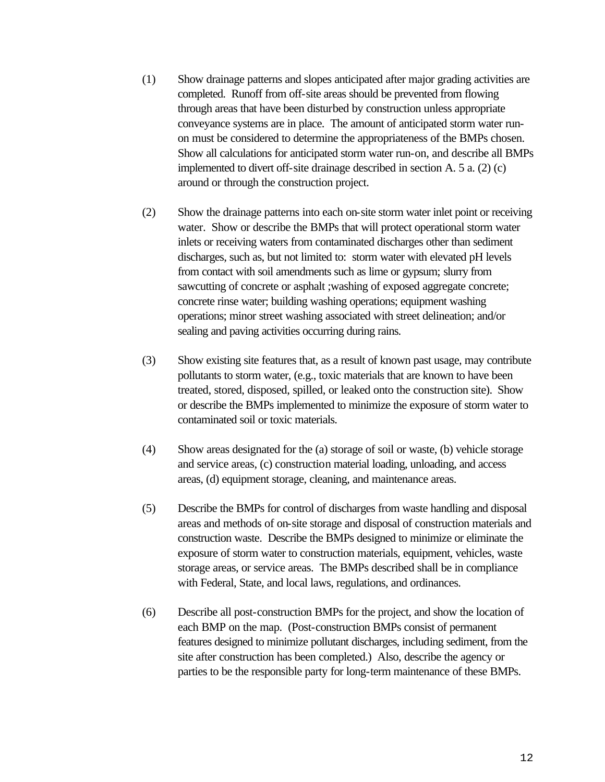- (1) Show drainage patterns and slopes anticipated after major grading activities are completed. Runoff from off-site areas should be prevented from flowing through areas that have been disturbed by construction unless appropriate conveyance systems are in place. The amount of anticipated storm water runon must be considered to determine the appropriateness of the BMPs chosen. Show all calculations for anticipated storm water run-on, and describe all BMPs implemented to divert off-site drainage described in section A. 5 a. (2) (c) around or through the construction project.
- (2) Show the drainage patterns into each on-site storm water inlet point or receiving water. Show or describe the BMPs that will protect operational storm water inlets or receiving waters from contaminated discharges other than sediment discharges, such as, but not limited to: storm water with elevated pH levels from contact with soil amendments such as lime or gypsum; slurry from sawcutting of concrete or asphalt ;washing of exposed aggregate concrete; concrete rinse water; building washing operations; equipment washing operations; minor street washing associated with street delineation; and/or sealing and paving activities occurring during rains.
- (3) Show existing site features that, as a result of known past usage, may contribute pollutants to storm water, (e.g., toxic materials that are known to have been treated, stored, disposed, spilled, or leaked onto the construction site). Show or describe the BMPs implemented to minimize the exposure of storm water to contaminated soil or toxic materials.
- (4) Show areas designated for the (a) storage of soil or waste, (b) vehicle storage and service areas, (c) construction material loading, unloading, and access areas, (d) equipment storage, cleaning, and maintenance areas.
- (5) Describe the BMPs for control of discharges from waste handling and disposal areas and methods of on-site storage and disposal of construction materials and construction waste. Describe the BMPs designed to minimize or eliminate the exposure of storm water to construction materials, equipment, vehicles, waste storage areas, or service areas. The BMPs described shall be in compliance with Federal, State, and local laws, regulations, and ordinances.
- (6) Describe all post-construction BMPs for the project, and show the location of each BMP on the map. (Post-construction BMPs consist of permanent features designed to minimize pollutant discharges, including sediment, from the site after construction has been completed.) Also, describe the agency or parties to be the responsible party for long-term maintenance of these BMPs.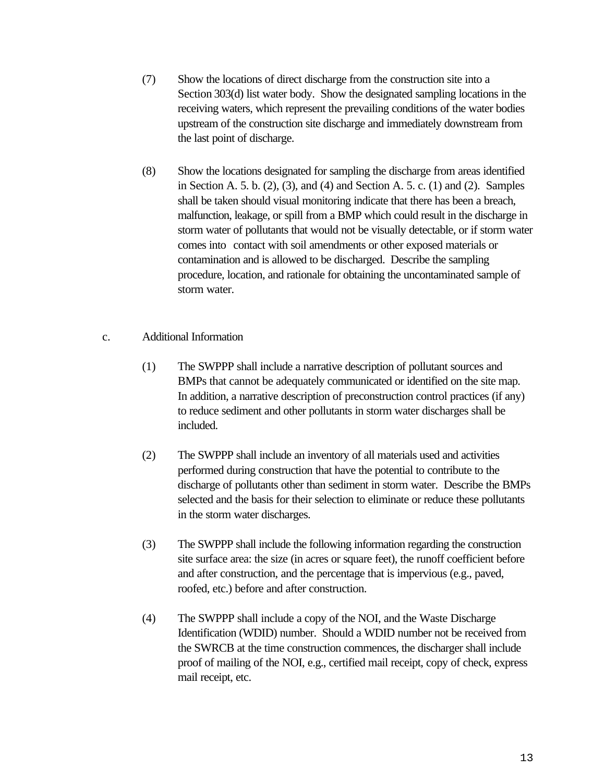- (7) Show the locations of direct discharge from the construction site into a Section 303(d) list water body. Show the designated sampling locations in the receiving waters, which represent the prevailing conditions of the water bodies upstream of the construction site discharge and immediately downstream from the last point of discharge.
- (8) Show the locations designated for sampling the discharge from areas identified in Section A. 5. b. (2), (3), and (4) and Section A. 5. c. (1) and (2). Samples shall be taken should visual monitoring indicate that there has been a breach, malfunction, leakage, or spill from a BMP which could result in the discharge in storm water of pollutants that would not be visually detectable, or if storm water comes into contact with soil amendments or other exposed materials or contamination and is allowed to be discharged. Describe the sampling procedure, location, and rationale for obtaining the uncontaminated sample of storm water.
- c. Additional Information
	- (1) The SWPPP shall include a narrative description of pollutant sources and BMPs that cannot be adequately communicated or identified on the site map. In addition, a narrative description of preconstruction control practices (if any) to reduce sediment and other pollutants in storm water discharges shall be included.
	- (2) The SWPPP shall include an inventory of all materials used and activities performed during construction that have the potential to contribute to the discharge of pollutants other than sediment in storm water. Describe the BMPs selected and the basis for their selection to eliminate or reduce these pollutants in the storm water discharges.
	- (3) The SWPPP shall include the following information regarding the construction site surface area: the size (in acres or square feet), the runoff coefficient before and after construction, and the percentage that is impervious (e.g., paved, roofed, etc.) before and after construction.
	- (4) The SWPPP shall include a copy of the NOI, and the Waste Discharge Identification (WDID) number. Should a WDID number not be received from the SWRCB at the time construction commences, the discharger shall include proof of mailing of the NOI, e.g., certified mail receipt, copy of check, express mail receipt, etc.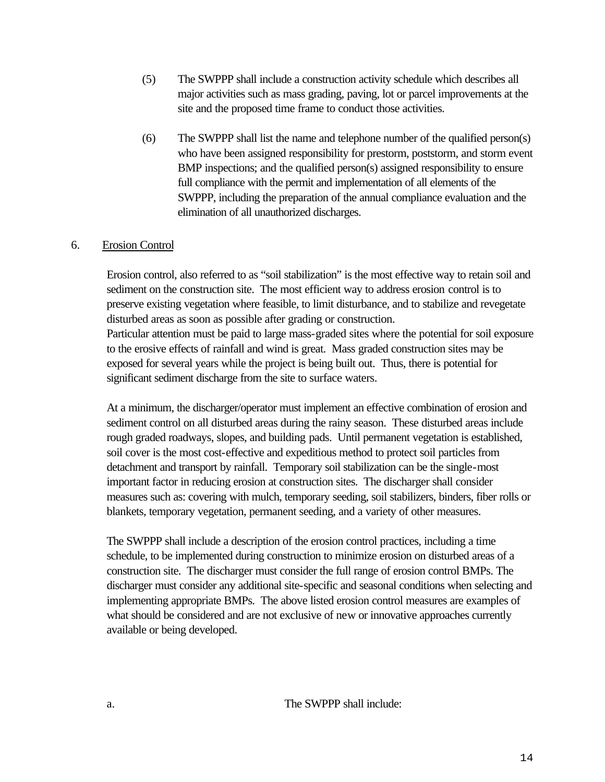- (5) The SWPPP shall include a construction activity schedule which describes all major activities such as mass grading, paving, lot or parcel improvements at the site and the proposed time frame to conduct those activities.
- (6) The SWPPP shall list the name and telephone number of the qualified person(s) who have been assigned responsibility for prestorm, poststorm, and storm event BMP inspections; and the qualified person(s) assigned responsibility to ensure full compliance with the permit and implementation of all elements of the SWPPP, including the preparation of the annual compliance evaluation and the elimination of all unauthorized discharges.

#### 6. Erosion Control

Erosion control, also referred to as "soil stabilization" is the most effective way to retain soil and sediment on the construction site. The most efficient way to address erosion control is to preserve existing vegetation where feasible, to limit disturbance, and to stabilize and revegetate disturbed areas as soon as possible after grading or construction.

Particular attention must be paid to large mass-graded sites where the potential for soil exposure to the erosive effects of rainfall and wind is great. Mass graded construction sites may be exposed for several years while the project is being built out. Thus, there is potential for significant sediment discharge from the site to surface waters.

At a minimum, the discharger/operator must implement an effective combination of erosion and sediment control on all disturbed areas during the rainy season. These disturbed areas include rough graded roadways, slopes, and building pads. Until permanent vegetation is established, soil cover is the most cost-effective and expeditious method to protect soil particles from detachment and transport by rainfall. Temporary soil stabilization can be the single-most important factor in reducing erosion at construction sites. The discharger shall consider measures such as: covering with mulch, temporary seeding, soil stabilizers, binders, fiber rolls or blankets, temporary vegetation, permanent seeding, and a variety of other measures.

The SWPPP shall include a description of the erosion control practices, including a time schedule, to be implemented during construction to minimize erosion on disturbed areas of a construction site. The discharger must consider the full range of erosion control BMPs. The discharger must consider any additional site-specific and seasonal conditions when selecting and implementing appropriate BMPs. The above listed erosion control measures are examples of what should be considered and are not exclusive of new or innovative approaches currently available or being developed.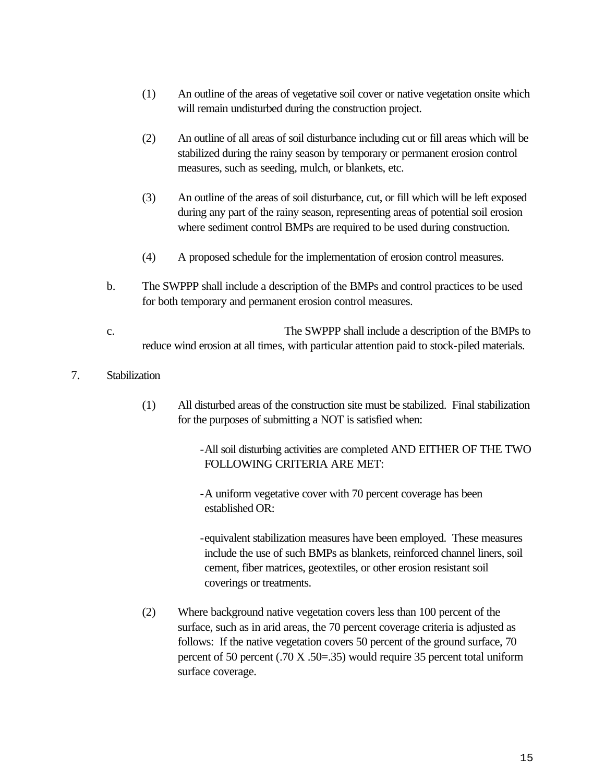- (1) An outline of the areas of vegetative soil cover or native vegetation onsite which will remain undisturbed during the construction project.
- (2) An outline of all areas of soil disturbance including cut or fill areas which will be stabilized during the rainy season by temporary or permanent erosion control measures, such as seeding, mulch, or blankets, etc.
- (3) An outline of the areas of soil disturbance, cut, or fill which will be left exposed during any part of the rainy season, representing areas of potential soil erosion where sediment control BMPs are required to be used during construction.
- (4) A proposed schedule for the implementation of erosion control measures.
- b. The SWPPP shall include a description of the BMPs and control practices to be used for both temporary and permanent erosion control measures.
- c. The SWPPP shall include a description of the BMPs to reduce wind erosion at all times, with particular attention paid to stock-piled materials.

#### 7. Stabilization

(1) All disturbed areas of the construction site must be stabilized. Final stabilization for the purposes of submitting a NOT is satisfied when:

> -All soil disturbing activities are completed AND EITHER OF THE TWO FOLLOWING CRITERIA ARE MET:

-A uniform vegetative cover with 70 percent coverage has been established OR:

-equivalent stabilization measures have been employed. These measures include the use of such BMPs as blankets, reinforced channel liners, soil cement, fiber matrices, geotextiles, or other erosion resistant soil coverings or treatments.

(2) Where background native vegetation covers less than 100 percent of the surface, such as in arid areas, the 70 percent coverage criteria is adjusted as follows: If the native vegetation covers 50 percent of the ground surface, 70 percent of 50 percent (.70 X .50=.35) would require 35 percent total uniform surface coverage.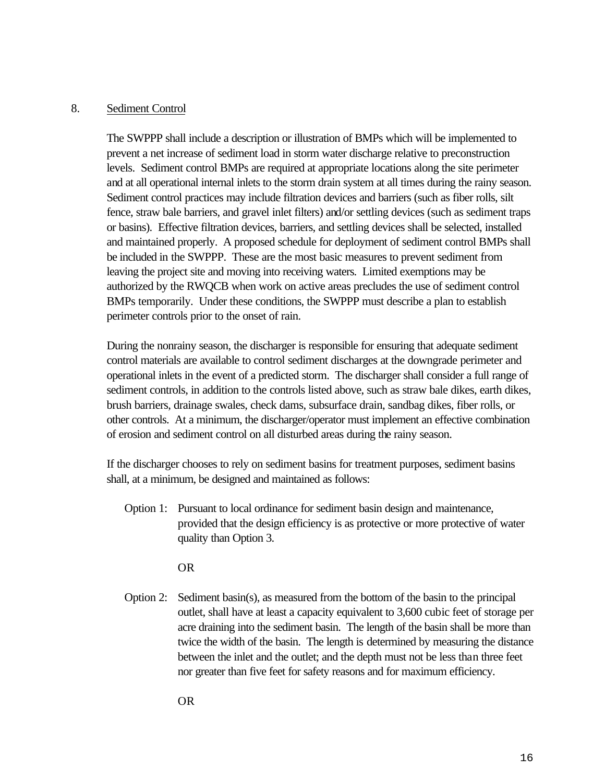#### 8. Sediment Control

The SWPPP shall include a description or illustration of BMPs which will be implemented to prevent a net increase of sediment load in storm water discharge relative to preconstruction levels. Sediment control BMPs are required at appropriate locations along the site perimeter and at all operational internal inlets to the storm drain system at all times during the rainy season. Sediment control practices may include filtration devices and barriers (such as fiber rolls, silt fence, straw bale barriers, and gravel inlet filters) and/or settling devices (such as sediment traps or basins). Effective filtration devices, barriers, and settling devices shall be selected, installed and maintained properly. A proposed schedule for deployment of sediment control BMPs shall be included in the SWPPP. These are the most basic measures to prevent sediment from leaving the project site and moving into receiving waters. Limited exemptions may be authorized by the RWQCB when work on active areas precludes the use of sediment control BMPs temporarily. Under these conditions, the SWPPP must describe a plan to establish perimeter controls prior to the onset of rain.

During the nonrainy season, the discharger is responsible for ensuring that adequate sediment control materials are available to control sediment discharges at the downgrade perimeter and operational inlets in the event of a predicted storm. The discharger shall consider a full range of sediment controls, in addition to the controls listed above, such as straw bale dikes, earth dikes, brush barriers, drainage swales, check dams, subsurface drain, sandbag dikes, fiber rolls, or other controls. At a minimum, the discharger/operator must implement an effective combination of erosion and sediment control on all disturbed areas during the rainy season.

If the discharger chooses to rely on sediment basins for treatment purposes, sediment basins shall, at a minimum, be designed and maintained as follows:

Option 1: Pursuant to local ordinance for sediment basin design and maintenance, provided that the design efficiency is as protective or more protective of water quality than Option 3.

OR

Option 2: Sediment basin(s), as measured from the bottom of the basin to the principal outlet, shall have at least a capacity equivalent to 3,600 cubic feet of storage per acre draining into the sediment basin. The length of the basin shall be more than twice the width of the basin. The length is determined by measuring the distance between the inlet and the outlet; and the depth must not be less than three feet nor greater than five feet for safety reasons and for maximum efficiency.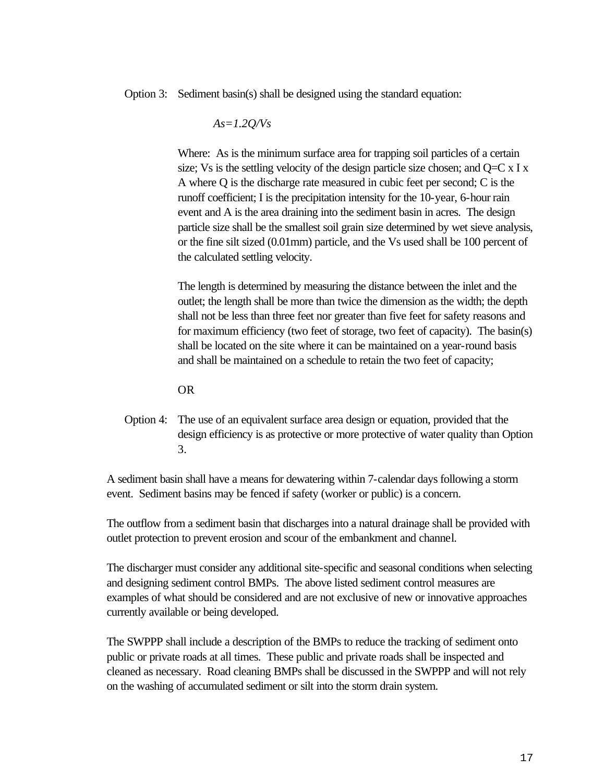Option 3: Sediment basin(s) shall be designed using the standard equation:

$$
As=1.2Q/Vs
$$

Where: As is the minimum surface area for trapping soil particles of a certain size; Vs is the settling velocity of the design particle size chosen; and  $Q=C \times I \times I$ A where Q is the discharge rate measured in cubic feet per second; C is the runoff coefficient; I is the precipitation intensity for the 10-year, 6-hour rain event and A is the area draining into the sediment basin in acres. The design particle size shall be the smallest soil grain size determined by wet sieve analysis, or the fine silt sized (0.01mm) particle, and the Vs used shall be 100 percent of the calculated settling velocity.

The length is determined by measuring the distance between the inlet and the outlet; the length shall be more than twice the dimension as the width; the depth shall not be less than three feet nor greater than five feet for safety reasons and for maximum efficiency (two feet of storage, two feet of capacity). The basin(s) shall be located on the site where it can be maintained on a year-round basis and shall be maintained on a schedule to retain the two feet of capacity;

#### OR

Option 4: The use of an equivalent surface area design or equation, provided that the design efficiency is as protective or more protective of water quality than Option 3.

A sediment basin shall have a means for dewatering within 7-calendar days following a storm event. Sediment basins may be fenced if safety (worker or public) is a concern.

The outflow from a sediment basin that discharges into a natural drainage shall be provided with outlet protection to prevent erosion and scour of the embankment and channel.

The discharger must consider any additional site-specific and seasonal conditions when selecting and designing sediment control BMPs. The above listed sediment control measures are examples of what should be considered and are not exclusive of new or innovative approaches currently available or being developed.

The SWPPP shall include a description of the BMPs to reduce the tracking of sediment onto public or private roads at all times. These public and private roads shall be inspected and cleaned as necessary. Road cleaning BMPs shall be discussed in the SWPPP and will not rely on the washing of accumulated sediment or silt into the storm drain system.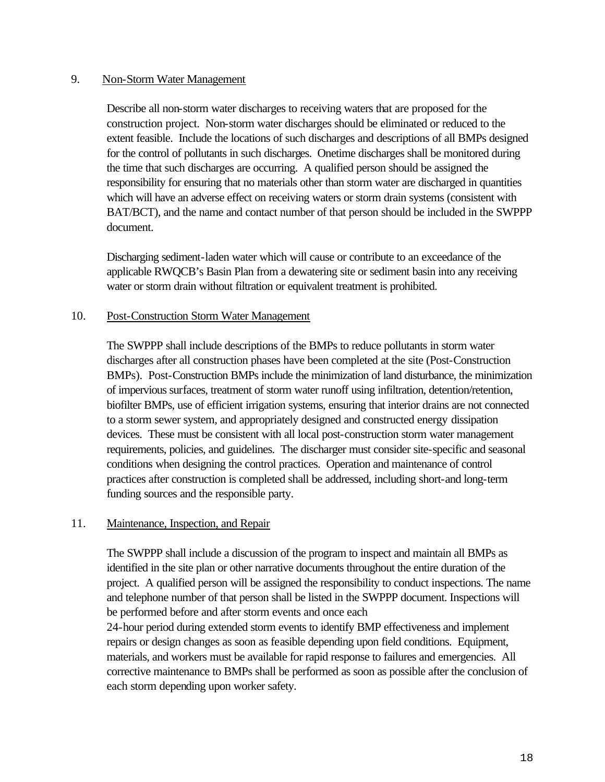#### 9. Non-Storm Water Management

Describe all non-storm water discharges to receiving waters that are proposed for the construction project. Non-storm water discharges should be eliminated or reduced to the extent feasible. Include the locations of such discharges and descriptions of all BMPs designed for the control of pollutants in such discharges. Onetime discharges shall be monitored during the time that such discharges are occurring. A qualified person should be assigned the responsibility for ensuring that no materials other than storm water are discharged in quantities which will have an adverse effect on receiving waters or storm drain systems (consistent with BAT/BCT), and the name and contact number of that person should be included in the SWPPP document.

Discharging sediment-laden water which will cause or contribute to an exceedance of the applicable RWQCB's Basin Plan from a dewatering site or sediment basin into any receiving water or storm drain without filtration or equivalent treatment is prohibited.

#### 10. Post-Construction Storm Water Management

The SWPPP shall include descriptions of the BMPs to reduce pollutants in storm water discharges after all construction phases have been completed at the site (Post-Construction BMPs). Post-Construction BMPs include the minimization of land disturbance, the minimization of impervious surfaces, treatment of storm water runoff using infiltration, detention/retention, biofilter BMPs, use of efficient irrigation systems, ensuring that interior drains are not connected to a storm sewer system, and appropriately designed and constructed energy dissipation devices. These must be consistent with all local post-construction storm water management requirements, policies, and guidelines. The discharger must consider site-specific and seasonal conditions when designing the control practices. Operation and maintenance of control practices after construction is completed shall be addressed, including short-and long-term funding sources and the responsible party.

#### 11. Maintenance, Inspection, and Repair

The SWPPP shall include a discussion of the program to inspect and maintain all BMPs as identified in the site plan or other narrative documents throughout the entire duration of the project. A qualified person will be assigned the responsibility to conduct inspections. The name and telephone number of that person shall be listed in the SWPPP document. Inspections will be performed before and after storm events and once each

24-hour period during extended storm events to identify BMP effectiveness and implement repairs or design changes as soon as feasible depending upon field conditions. Equipment, materials, and workers must be available for rapid response to failures and emergencies. All corrective maintenance to BMPs shall be performed as soon as possible after the conclusion of each storm depending upon worker safety.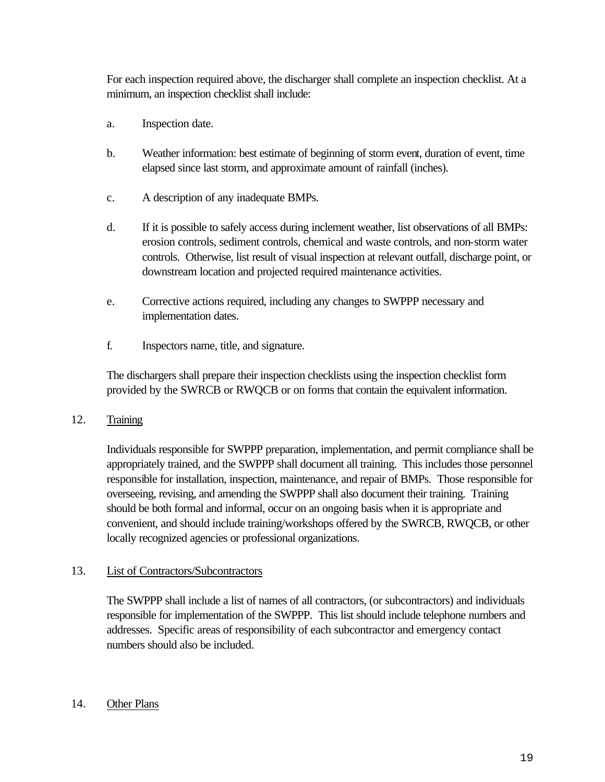For each inspection required above, the discharger shall complete an inspection checklist. At a minimum, an inspection checklist shall include:

- a. Inspection date.
- b. Weather information: best estimate of beginning of storm event, duration of event, time elapsed since last storm, and approximate amount of rainfall (inches).
- c. A description of any inadequate BMPs.
- d. If it is possible to safely access during inclement weather, list observations of all BMPs: erosion controls, sediment controls, chemical and waste controls, and non-storm water controls. Otherwise, list result of visual inspection at relevant outfall, discharge point, or downstream location and projected required maintenance activities.
- e. Corrective actions required, including any changes to SWPPP necessary and implementation dates.
- f. Inspectors name, title, and signature.

The dischargers shall prepare their inspection checklists using the inspection checklist form provided by the SWRCB or RWQCB or on forms that contain the equivalent information.

#### 12. Training

Individuals responsible for SWPPP preparation, implementation, and permit compliance shall be appropriately trained, and the SWPPP shall document all training. This includes those personnel responsible for installation, inspection, maintenance, and repair of BMPs. Those responsible for overseeing, revising, and amending the SWPPP shall also document their training. Training should be both formal and informal, occur on an ongoing basis when it is appropriate and convenient, and should include training/workshops offered by the SWRCB, RWQCB, or other locally recognized agencies or professional organizations.

#### 13. List of Contractors/Subcontractors

The SWPPP shall include a list of names of all contractors, (or subcontractors) and individuals responsible for implementation of the SWPPP. This list should include telephone numbers and addresses. Specific areas of responsibility of each subcontractor and emergency contact numbers should also be included.

#### 14. Other Plans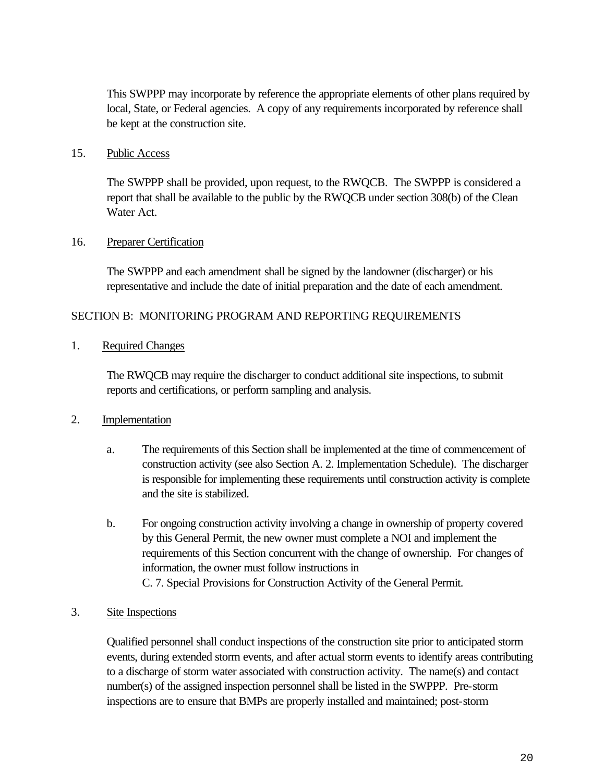This SWPPP may incorporate by reference the appropriate elements of other plans required by local, State, or Federal agencies. A copy of any requirements incorporated by reference shall be kept at the construction site.

#### 15. Public Access

The SWPPP shall be provided, upon request, to the RWQCB. The SWPPP is considered a report that shall be available to the public by the RWQCB under section 308(b) of the Clean Water Act.

#### 16. Preparer Certification

The SWPPP and each amendment shall be signed by the landowner (discharger) or his representative and include the date of initial preparation and the date of each amendment.

#### SECTION B: MONITORING PROGRAM AND REPORTING REQUIREMENTS

1. Required Changes

The RWQCB may require the discharger to conduct additional site inspections, to submit reports and certifications, or perform sampling and analysis.

#### 2. Implementation

- a. The requirements of this Section shall be implemented at the time of commencement of construction activity (see also Section A. 2. Implementation Schedule). The discharger is responsible for implementing these requirements until construction activity is complete and the site is stabilized.
- b. For ongoing construction activity involving a change in ownership of property covered by this General Permit, the new owner must complete a NOI and implement the requirements of this Section concurrent with the change of ownership. For changes of information, the owner must follow instructions in C. 7. Special Provisions for Construction Activity of the General Permit.

#### 3. Site Inspections

Qualified personnel shall conduct inspections of the construction site prior to anticipated storm events, during extended storm events, and after actual storm events to identify areas contributing to a discharge of storm water associated with construction activity. The name(s) and contact number(s) of the assigned inspection personnel shall be listed in the SWPPP. Pre-storm inspections are to ensure that BMPs are properly installed and maintained; post-storm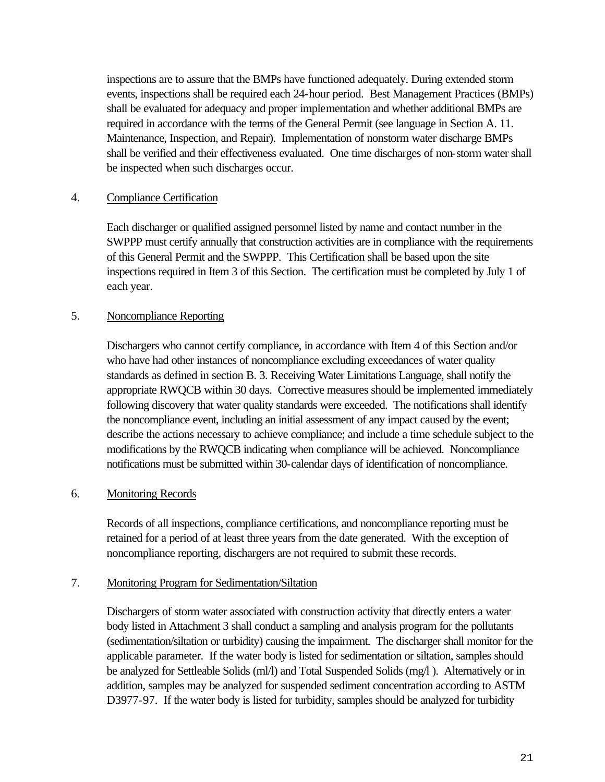inspections are to assure that the BMPs have functioned adequately. During extended storm events, inspections shall be required each 24-hour period. Best Management Practices (BMPs) shall be evaluated for adequacy and proper implementation and whether additional BMPs are required in accordance with the terms of the General Permit (see language in Section A. 11. Maintenance, Inspection, and Repair). Implementation of nonstorm water discharge BMPs shall be verified and their effectiveness evaluated. One time discharges of non-storm water shall be inspected when such discharges occur.

#### 4. Compliance Certification

Each discharger or qualified assigned personnel listed by name and contact number in the SWPPP must certify annually that construction activities are in compliance with the requirements of this General Permit and the SWPPP. This Certification shall be based upon the site inspections required in Item 3 of this Section. The certification must be completed by July 1 of each year.

#### 5. Noncompliance Reporting

Dischargers who cannot certify compliance, in accordance with Item 4 of this Section and/or who have had other instances of noncompliance excluding exceedances of water quality standards as defined in section B. 3. Receiving Water Limitations Language, shall notify the appropriate RWQCB within 30 days. Corrective measures should be implemented immediately following discovery that water quality standards were exceeded. The notifications shall identify the noncompliance event, including an initial assessment of any impact caused by the event; describe the actions necessary to achieve compliance; and include a time schedule subject to the modifications by the RWQCB indicating when compliance will be achieved. Noncompliance notifications must be submitted within 30-calendar days of identification of noncompliance.

#### 6. Monitoring Records

Records of all inspections, compliance certifications, and noncompliance reporting must be retained for a period of at least three years from the date generated. With the exception of noncompliance reporting, dischargers are not required to submit these records.

#### 7. Monitoring Program for Sedimentation/Siltation

Dischargers of storm water associated with construction activity that directly enters a water body listed in Attachment 3 shall conduct a sampling and analysis program for the pollutants (sedimentation/siltation or turbidity) causing the impairment. The discharger shall monitor for the applicable parameter. If the water body is listed for sedimentation or siltation, samples should be analyzed for Settleable Solids (ml/l) and Total Suspended Solids (mg/l). Alternatively or in addition, samples may be analyzed for suspended sediment concentration according to ASTM D3977-97. If the water body is listed for turbidity, samples should be analyzed for turbidity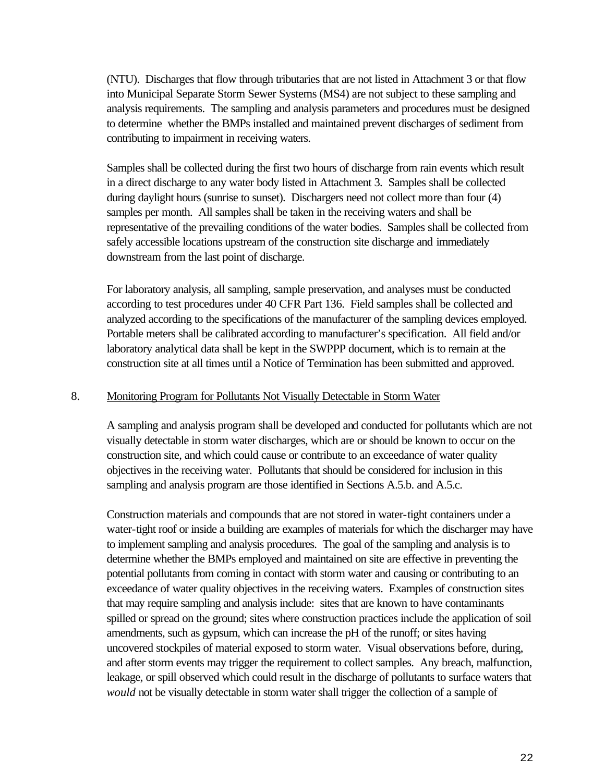(NTU). Discharges that flow through tributaries that are not listed in Attachment 3 or that flow into Municipal Separate Storm Sewer Systems (MS4) are not subject to these sampling and analysis requirements. The sampling and analysis parameters and procedures must be designed to determine whether the BMPs installed and maintained prevent discharges of sediment from contributing to impairment in receiving waters.

Samples shall be collected during the first two hours of discharge from rain events which result in a direct discharge to any water body listed in Attachment 3. Samples shall be collected during daylight hours (sunrise to sunset). Dischargers need not collect more than four (4) samples per month. All samples shall be taken in the receiving waters and shall be representative of the prevailing conditions of the water bodies. Samples shall be collected from safely accessible locations upstream of the construction site discharge and immediately downstream from the last point of discharge.

For laboratory analysis, all sampling, sample preservation, and analyses must be conducted according to test procedures under 40 CFR Part 136. Field samples shall be collected and analyzed according to the specifications of the manufacturer of the sampling devices employed. Portable meters shall be calibrated according to manufacturer's specification. All field and/or laboratory analytical data shall be kept in the SWPPP document, which is to remain at the construction site at all times until a Notice of Termination has been submitted and approved.

#### 8. Monitoring Program for Pollutants Not Visually Detectable in Storm Water

A sampling and analysis program shall be developed and conducted for pollutants which are not visually detectable in storm water discharges, which are or should be known to occur on the construction site, and which could cause or contribute to an exceedance of water quality objectives in the receiving water. Pollutants that should be considered for inclusion in this sampling and analysis program are those identified in Sections A.5.b. and A.5.c.

Construction materials and compounds that are not stored in water-tight containers under a water-tight roof or inside a building are examples of materials for which the discharger may have to implement sampling and analysis procedures. The goal of the sampling and analysis is to determine whether the BMPs employed and maintained on site are effective in preventing the potential pollutants from coming in contact with storm water and causing or contributing to an exceedance of water quality objectives in the receiving waters. Examples of construction sites that may require sampling and analysis include: sites that are known to have contaminants spilled or spread on the ground; sites where construction practices include the application of soil amendments, such as gypsum, which can increase the pH of the runoff; or sites having uncovered stockpiles of material exposed to storm water. Visual observations before, during, and after storm events may trigger the requirement to collect samples. Any breach, malfunction, leakage, or spill observed which could result in the discharge of pollutants to surface waters that *would* not be visually detectable in storm water shall trigger the collection of a sample of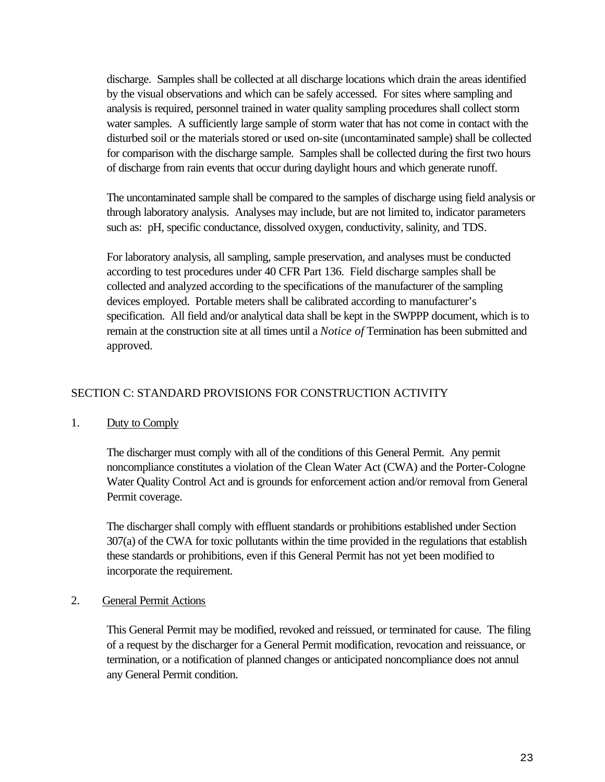discharge. Samples shall be collected at all discharge locations which drain the areas identified by the visual observations and which can be safely accessed. For sites where sampling and analysis is required, personnel trained in water quality sampling procedures shall collect storm water samples. A sufficiently large sample of storm water that has not come in contact with the disturbed soil or the materials stored or used on-site (uncontaminated sample) shall be collected for comparison with the discharge sample. Samples shall be collected during the first two hours of discharge from rain events that occur during daylight hours and which generate runoff.

The uncontaminated sample shall be compared to the samples of discharge using field analysis or through laboratory analysis. Analyses may include, but are not limited to, indicator parameters such as: pH, specific conductance, dissolved oxygen, conductivity, salinity, and TDS.

For laboratory analysis, all sampling, sample preservation, and analyses must be conducted according to test procedures under 40 CFR Part 136. Field discharge samples shall be collected and analyzed according to the specifications of the manufacturer of the sampling devices employed. Portable meters shall be calibrated according to manufacturer's specification. All field and/or analytical data shall be kept in the SWPPP document, which is to remain at the construction site at all times until a *Notice of* Termination has been submitted and approved.

#### SECTION C: STANDARD PROVISIONS FOR CONSTRUCTION ACTIVITY

#### 1. Duty to Comply

The discharger must comply with all of the conditions of this General Permit. Any permit noncompliance constitutes a violation of the Clean Water Act (CWA) and the Porter-Cologne Water Quality Control Act and is grounds for enforcement action and/or removal from General Permit coverage.

The discharger shall comply with effluent standards or prohibitions established under Section 307(a) of the CWA for toxic pollutants within the time provided in the regulations that establish these standards or prohibitions, even if this General Permit has not yet been modified to incorporate the requirement.

#### 2. General Permit Actions

This General Permit may be modified, revoked and reissued, or terminated for cause. The filing of a request by the discharger for a General Permit modification, revocation and reissuance, or termination, or a notification of planned changes or anticipated noncompliance does not annul any General Permit condition.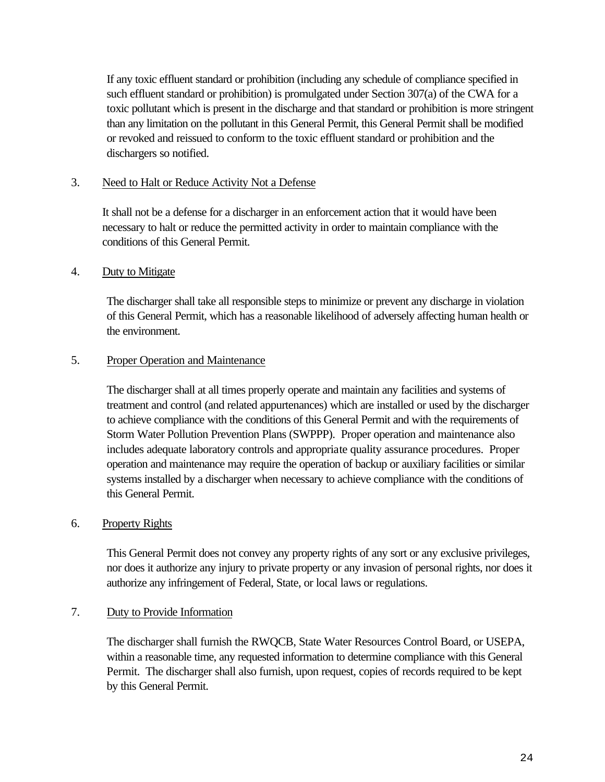If any toxic effluent standard or prohibition (including any schedule of compliance specified in such effluent standard or prohibition) is promulgated under Section 307(a) of the CWA for a toxic pollutant which is present in the discharge and that standard or prohibition is more stringent than any limitation on the pollutant in this General Permit, this General Permit shall be modified or revoked and reissued to conform to the toxic effluent standard or prohibition and the dischargers so notified.

#### 3. Need to Halt or Reduce Activity Not a Defense

It shall not be a defense for a discharger in an enforcement action that it would have been necessary to halt or reduce the permitted activity in order to maintain compliance with the conditions of this General Permit.

#### 4. Duty to Mitigate

The discharger shall take all responsible steps to minimize or prevent any discharge in violation of this General Permit, which has a reasonable likelihood of adversely affecting human health or the environment.

#### 5. Proper Operation and Maintenance

The discharger shall at all times properly operate and maintain any facilities and systems of treatment and control (and related appurtenances) which are installed or used by the discharger to achieve compliance with the conditions of this General Permit and with the requirements of Storm Water Pollution Prevention Plans (SWPPP). Proper operation and maintenance also includes adequate laboratory controls and appropriate quality assurance procedures. Proper operation and maintenance may require the operation of backup or auxiliary facilities or similar systems installed by a discharger when necessary to achieve compliance with the conditions of this General Permit.

#### 6. Property Rights

This General Permit does not convey any property rights of any sort or any exclusive privileges, nor does it authorize any injury to private property or any invasion of personal rights, nor does it authorize any infringement of Federal, State, or local laws or regulations.

#### 7. Duty to Provide Information

The discharger shall furnish the RWQCB, State Water Resources Control Board, or USEPA, within a reasonable time, any requested information to determine compliance with this General Permit. The discharger shall also furnish, upon request, copies of records required to be kept by this General Permit.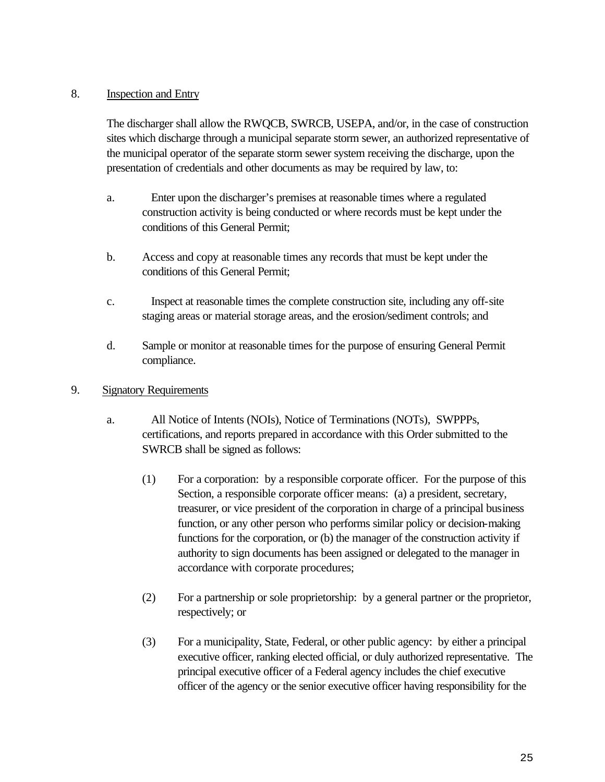#### 8. Inspection and Entry

The discharger shall allow the RWQCB, SWRCB, USEPA, and/or, in the case of construction sites which discharge through a municipal separate storm sewer, an authorized representative of the municipal operator of the separate storm sewer system receiving the discharge, upon the presentation of credentials and other documents as may be required by law, to:

- a. Enter upon the discharger's premises at reasonable times where a regulated construction activity is being conducted or where records must be kept under the conditions of this General Permit;
- b. Access and copy at reasonable times any records that must be kept under the conditions of this General Permit;
- c. Inspect at reasonable times the complete construction site, including any off-site staging areas or material storage areas, and the erosion/sediment controls; and
- d. Sample or monitor at reasonable times for the purpose of ensuring General Permit compliance.

#### 9. Signatory Requirements

- a. All Notice of Intents (NOIs), Notice of Terminations (NOTs), SWPPPs, certifications, and reports prepared in accordance with this Order submitted to the SWRCB shall be signed as follows:
	- (1) For a corporation: by a responsible corporate officer. For the purpose of this Section, a responsible corporate officer means: (a) a president, secretary, treasurer, or vice president of the corporation in charge of a principal business function, or any other person who performs similar policy or decision-making functions for the corporation, or (b) the manager of the construction activity if authority to sign documents has been assigned or delegated to the manager in accordance with corporate procedures;
	- (2) For a partnership or sole proprietorship: by a general partner or the proprietor, respectively; or
	- (3) For a municipality, State, Federal, or other public agency: by either a principal executive officer, ranking elected official, or duly authorized representative. The principal executive officer of a Federal agency includes the chief executive officer of the agency or the senior executive officer having responsibility for the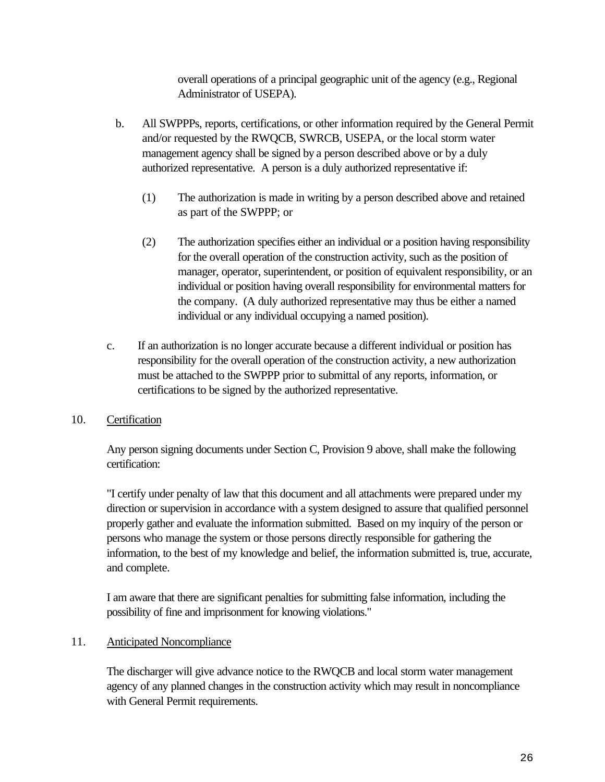overall operations of a principal geographic unit of the agency (e.g., Regional Administrator of USEPA).

- b. All SWPPPs, reports, certifications, or other information required by the General Permit and/or requested by the RWQCB, SWRCB, USEPA, or the local storm water management agency shall be signed by a person described above or by a duly authorized representative. A person is a duly authorized representative if:
	- (1) The authorization is made in writing by a person described above and retained as part of the SWPPP; or
	- (2) The authorization specifies either an individual or a position having responsibility for the overall operation of the construction activity, such as the position of manager, operator, superintendent, or position of equivalent responsibility, or an individual or position having overall responsibility for environmental matters for the company. (A duly authorized representative may thus be either a named individual or any individual occupying a named position).
- c. If an authorization is no longer accurate because a different individual or position has responsibility for the overall operation of the construction activity, a new authorization must be attached to the SWPPP prior to submittal of any reports, information, or certifications to be signed by the authorized representative.

#### 10. Certification

Any person signing documents under Section C, Provision 9 above, shall make the following certification:

"I certify under penalty of law that this document and all attachments were prepared under my direction or supervision in accordance with a system designed to assure that qualified personnel properly gather and evaluate the information submitted. Based on my inquiry of the person or persons who manage the system or those persons directly responsible for gathering the information, to the best of my knowledge and belief, the information submitted is, true, accurate, and complete.

I am aware that there are significant penalties for submitting false information, including the possibility of fine and imprisonment for knowing violations."

#### 11. Anticipated Noncompliance

The discharger will give advance notice to the RWQCB and local storm water management agency of any planned changes in the construction activity which may result in noncompliance with General Permit requirements.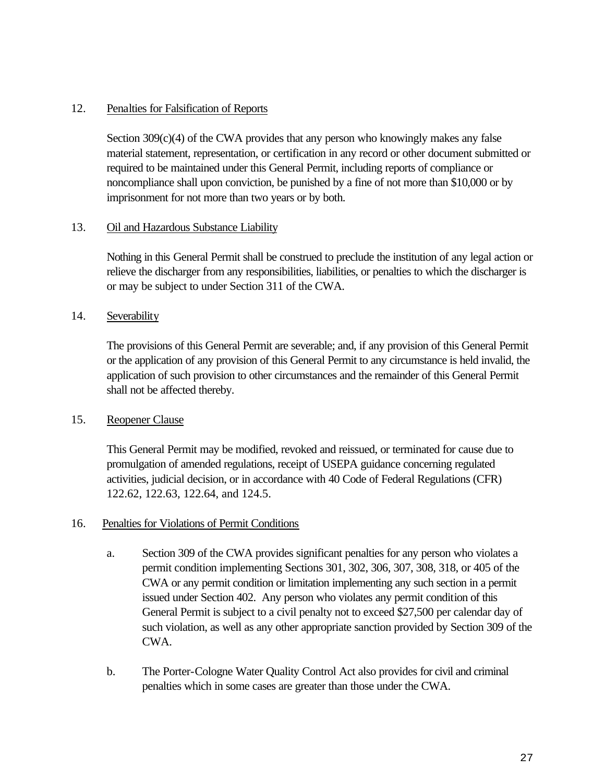#### 12. Penalties for Falsification of Reports

Section  $309(c)(4)$  of the CWA provides that any person who knowingly makes any false material statement, representation, or certification in any record or other document submitted or required to be maintained under this General Permit, including reports of compliance or noncompliance shall upon conviction, be punished by a fine of not more than \$10,000 or by imprisonment for not more than two years or by both.

#### 13. Oil and Hazardous Substance Liability

Nothing in this General Permit shall be construed to preclude the institution of any legal action or relieve the discharger from any responsibilities, liabilities, or penalties to which the discharger is or may be subject to under Section 311 of the CWA.

#### 14. Severability

The provisions of this General Permit are severable; and, if any provision of this General Permit or the application of any provision of this General Permit to any circumstance is held invalid, the application of such provision to other circumstances and the remainder of this General Permit shall not be affected thereby.

#### 15. Reopener Clause

This General Permit may be modified, revoked and reissued, or terminated for cause due to promulgation of amended regulations, receipt of USEPA guidance concerning regulated activities, judicial decision, or in accordance with 40 Code of Federal Regulations (CFR) 122.62, 122.63, 122.64, and 124.5.

#### 16. Penalties for Violations of Permit Conditions

- a. Section 309 of the CWA provides significant penalties for any person who violates a permit condition implementing Sections 301, 302, 306, 307, 308, 318, or 405 of the CWA or any permit condition or limitation implementing any such section in a permit issued under Section 402. Any person who violates any permit condition of this General Permit is subject to a civil penalty not to exceed \$27,500 per calendar day of such violation, as well as any other appropriate sanction provided by Section 309 of the CWA.
- b. The Porter-Cologne Water Quality Control Act also provides for civil and criminal penalties which in some cases are greater than those under the CWA.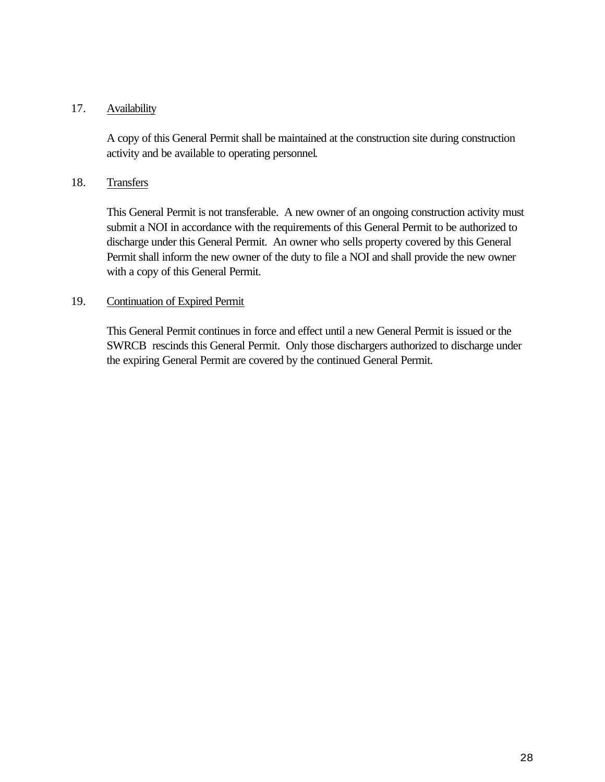#### 17. Availability

A copy of this General Permit shall be maintained at the construction site during construction activity and be available to operating personnel.

#### 18. Transfers

This General Permit is not transferable. A new owner of an ongoing construction activity must submit a NOI in accordance with the requirements of this General Permit to be authorized to discharge under this General Permit. An owner who sells property covered by this General Permit shall inform the new owner of the duty to file a NOI and shall provide the new owner with a copy of this General Permit.

#### 19. Continuation of Expired Permit

This General Permit continues in force and effect until a new General Permit is issued or the SWRCB rescinds this General Permit. Only those dischargers authorized to discharge under the expiring General Permit are covered by the continued General Permit.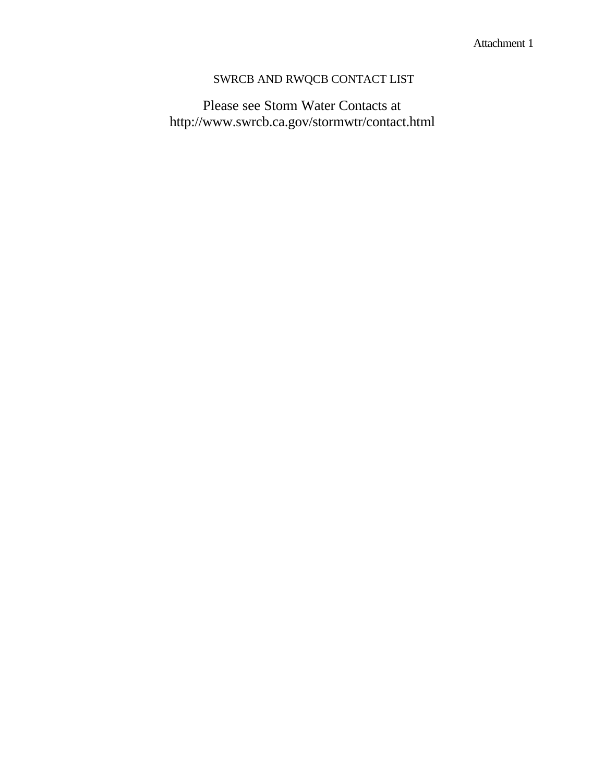# SWRCB AND RWQCB CONTACT LIST

Please see Storm Water Contacts at http://www.swrcb.ca.gov/stormwtr/contact.html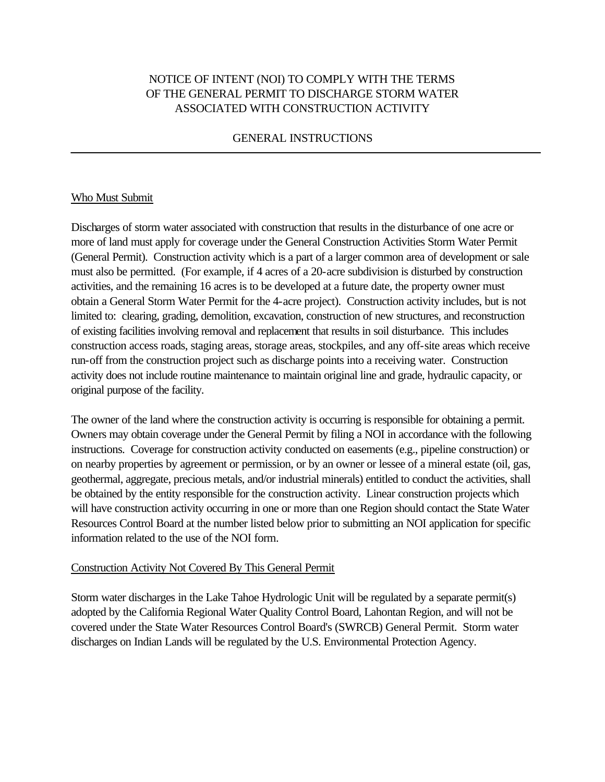### NOTICE OF INTENT (NOI) TO COMPLY WITH THE TERMS OF THE GENERAL PERMIT TO DISCHARGE STORM WATER ASSOCIATED WITH CONSTRUCTION ACTIVITY

#### GENERAL INSTRUCTIONS

#### Who Must Submit

Discharges of storm water associated with construction that results in the disturbance of one acre or more of land must apply for coverage under the General Construction Activities Storm Water Permit (General Permit). Construction activity which is a part of a larger common area of development or sale must also be permitted. (For example, if 4 acres of a 20-acre subdivision is disturbed by construction activities, and the remaining 16 acres is to be developed at a future date, the property owner must obtain a General Storm Water Permit for the 4-acre project). Construction activity includes, but is not limited to: clearing, grading, demolition, excavation, construction of new structures, and reconstruction of existing facilities involving removal and replacement that results in soil disturbance. This includes construction access roads, staging areas, storage areas, stockpiles, and any off-site areas which receive run-off from the construction project such as discharge points into a receiving water. Construction activity does not include routine maintenance to maintain original line and grade, hydraulic capacity, or original purpose of the facility.

The owner of the land where the construction activity is occurring is responsible for obtaining a permit. Owners may obtain coverage under the General Permit by filing a NOI in accordance with the following instructions. Coverage for construction activity conducted on easements (e.g., pipeline construction) or on nearby properties by agreement or permission, or by an owner or lessee of a mineral estate (oil, gas, geothermal, aggregate, precious metals, and/or industrial minerals) entitled to conduct the activities, shall be obtained by the entity responsible for the construction activity. Linear construction projects which will have construction activity occurring in one or more than one Region should contact the State Water Resources Control Board at the number listed below prior to submitting an NOI application for specific information related to the use of the NOI form.

#### Construction Activity Not Covered By This General Permit

Storm water discharges in the Lake Tahoe Hydrologic Unit will be regulated by a separate permit(s) adopted by the California Regional Water Quality Control Board, Lahontan Region, and will not be covered under the State Water Resources Control Board's (SWRCB) General Permit. Storm water discharges on Indian Lands will be regulated by the U.S. Environmental Protection Agency.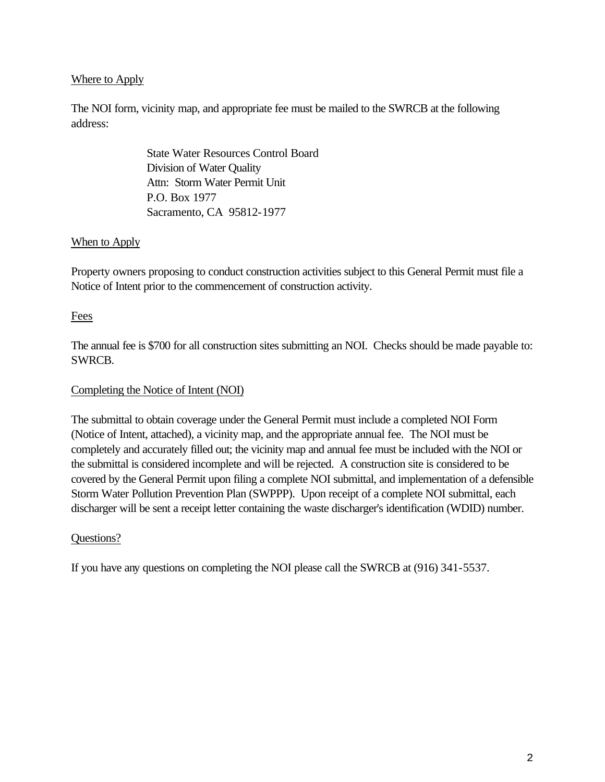#### Where to Apply

The NOI form, vicinity map, and appropriate fee must be mailed to the SWRCB at the following address:

> State Water Resources Control Board Division of Water Quality Attn: Storm Water Permit Unit P.O. Box 1977 Sacramento, CA 95812-1977

#### When to Apply

Property owners proposing to conduct construction activities subject to this General Permit must file a Notice of Intent prior to the commencement of construction activity.

#### Fees

The annual fee is \$700 for all construction sites submitting an NOI. Checks should be made payable to: SWRCB.

#### Completing the Notice of Intent (NOI)

The submittal to obtain coverage under the General Permit must include a completed NOI Form (Notice of Intent, attached), a vicinity map, and the appropriate annual fee. The NOI must be completely and accurately filled out; the vicinity map and annual fee must be included with the NOI or the submittal is considered incomplete and will be rejected. A construction site is considered to be covered by the General Permit upon filing a complete NOI submittal, and implementation of a defensible Storm Water Pollution Prevention Plan (SWPPP). Upon receipt of a complete NOI submittal, each discharger will be sent a receipt letter containing the waste discharger's identification (WDID) number.

#### Questions?

If you have any questions on completing the NOI please call the SWRCB at (916) 341-5537.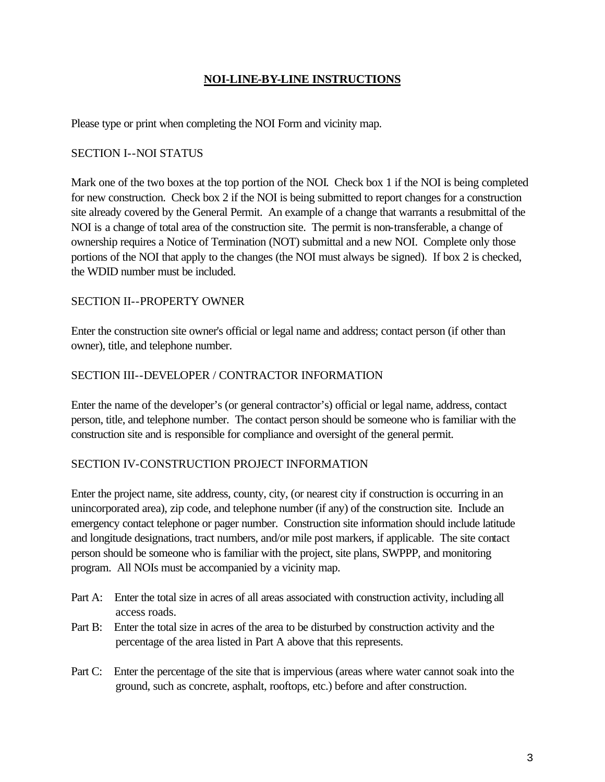#### **NOI-LINE-BY-LINE INSTRUCTIONS**

Please type or print when completing the NOI Form and vicinity map.

#### SECTION I--NOI STATUS

Mark one of the two boxes at the top portion of the NOI. Check box 1 if the NOI is being completed for new construction. Check box 2 if the NOI is being submitted to report changes for a construction site already covered by the General Permit. An example of a change that warrants a resubmittal of the NOI is a change of total area of the construction site. The permit is non-transferable, a change of ownership requires a Notice of Termination (NOT) submittal and a new NOI. Complete only those portions of the NOI that apply to the changes (the NOI must always be signed). If box 2 is checked, the WDID number must be included.

#### SECTION II--PROPERTY OWNER

Enter the construction site owner's official or legal name and address; contact person (if other than owner), title, and telephone number.

#### SECTION III--DEVELOPER / CONTRACTOR INFORMATION

Enter the name of the developer's (or general contractor's) official or legal name, address, contact person, title, and telephone number. The contact person should be someone who is familiar with the construction site and is responsible for compliance and oversight of the general permit.

#### SECTION IV-CONSTRUCTION PROJECT INFORMATION

Enter the project name, site address, county, city, (or nearest city if construction is occurring in an unincorporated area), zip code, and telephone number (if any) of the construction site. Include an emergency contact telephone or pager number. Construction site information should include latitude and longitude designations, tract numbers, and/or mile post markers, if applicable. The site contact person should be someone who is familiar with the project, site plans, SWPPP, and monitoring program. All NOIs must be accompanied by a vicinity map.

- Part A: Enter the total size in acres of all areas associated with construction activity, including all access roads.
- Part B: Enter the total size in acres of the area to be disturbed by construction activity and the percentage of the area listed in Part A above that this represents.
- Part C: Enter the percentage of the site that is impervious (areas where water cannot soak into the ground, such as concrete, asphalt, rooftops, etc.) before and after construction.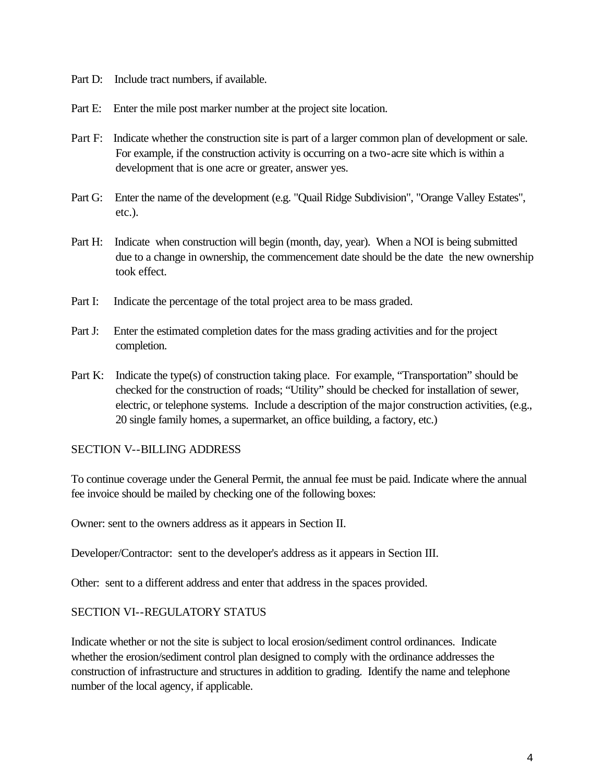- Part D: Include tract numbers, if available.
- Part E: Enter the mile post marker number at the project site location.
- Part F: Indicate whether the construction site is part of a larger common plan of development or sale. For example, if the construction activity is occurring on a two-acre site which is within a development that is one acre or greater, answer yes.
- Part G: Enter the name of the development (e.g. "Quail Ridge Subdivision", "Orange Valley Estates", etc.).
- Part H: Indicate when construction will begin (month, day, year). When a NOI is being submitted due to a change in ownership, the commencement date should be the date the new ownership took effect.
- Part I: Indicate the percentage of the total project area to be mass graded.
- Part J: Enter the estimated completion dates for the mass grading activities and for the project completion.
- Part K: Indicate the type(s) of construction taking place. For example, "Transportation" should be checked for the construction of roads; "Utility" should be checked for installation of sewer, electric, or telephone systems. Include a description of the major construction activities, (e.g., 20 single family homes, a supermarket, an office building, a factory, etc.)

#### SECTION V--BILLING ADDRESS

To continue coverage under the General Permit, the annual fee must be paid. Indicate where the annual fee invoice should be mailed by checking one of the following boxes:

Owner: sent to the owners address as it appears in Section II.

Developer/Contractor: sent to the developer's address as it appears in Section III.

Other: sent to a different address and enter that address in the spaces provided.

#### SECTION VI--REGULATORY STATUS

Indicate whether or not the site is subject to local erosion/sediment control ordinances. Indicate whether the erosion/sediment control plan designed to comply with the ordinance addresses the construction of infrastructure and structures in addition to grading. Identify the name and telephone number of the local agency, if applicable.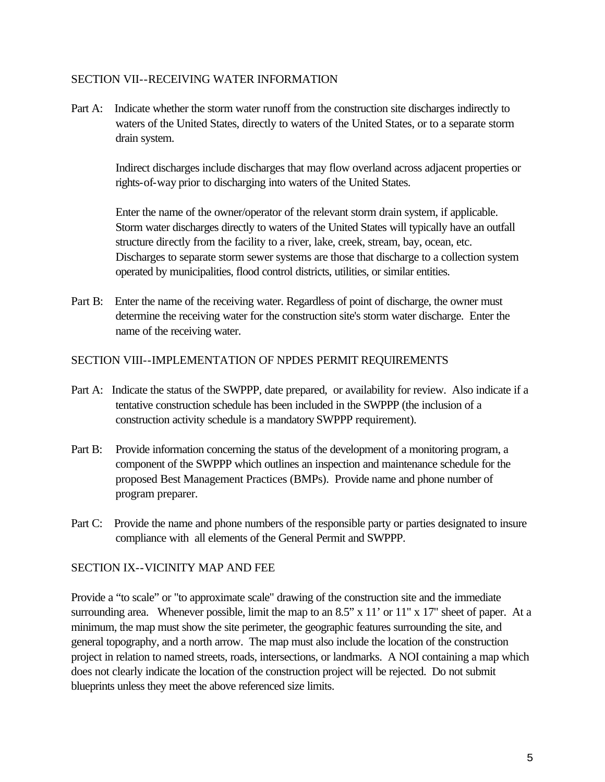#### SECTION VII--RECEIVING WATER INFORMATION

Part A: Indicate whether the storm water runoff from the construction site discharges indirectly to waters of the United States, directly to waters of the United States, or to a separate storm drain system.

Indirect discharges include discharges that may flow overland across adjacent properties or rights-of-way prior to discharging into waters of the United States.

Enter the name of the owner/operator of the relevant storm drain system, if applicable. Storm water discharges directly to waters of the United States will typically have an outfall structure directly from the facility to a river, lake, creek, stream, bay, ocean, etc. Discharges to separate storm sewer systems are those that discharge to a collection system operated by municipalities, flood control districts, utilities, or similar entities.

Part B: Enter the name of the receiving water. Regardless of point of discharge, the owner must determine the receiving water for the construction site's storm water discharge. Enter the name of the receiving water.

#### SECTION VIII--IMPLEMENTATION OF NPDES PERMIT REQUIREMENTS

- Part A: Indicate the status of the SWPPP, date prepared, or availability for review. Also indicate if a tentative construction schedule has been included in the SWPPP (the inclusion of a construction activity schedule is a mandatory SWPPP requirement).
- Part B: Provide information concerning the status of the development of a monitoring program, a component of the SWPPP which outlines an inspection and maintenance schedule for the proposed Best Management Practices (BMPs). Provide name and phone number of program preparer.
- Part C: Provide the name and phone numbers of the responsible party or parties designated to insure compliance with all elements of the General Permit and SWPPP.

#### SECTION IX--VICINITY MAP AND FEE

Provide a "to scale" or "to approximate scale" drawing of the construction site and the immediate surrounding area. Whenever possible, limit the map to an 8.5" x 11' or 11" x 17" sheet of paper. At a minimum, the map must show the site perimeter, the geographic features surrounding the site, and general topography, and a north arrow. The map must also include the location of the construction project in relation to named streets, roads, intersections, or landmarks. A NOI containing a map which does not clearly indicate the location of the construction project will be rejected. Do not submit blueprints unless they meet the above referenced size limits.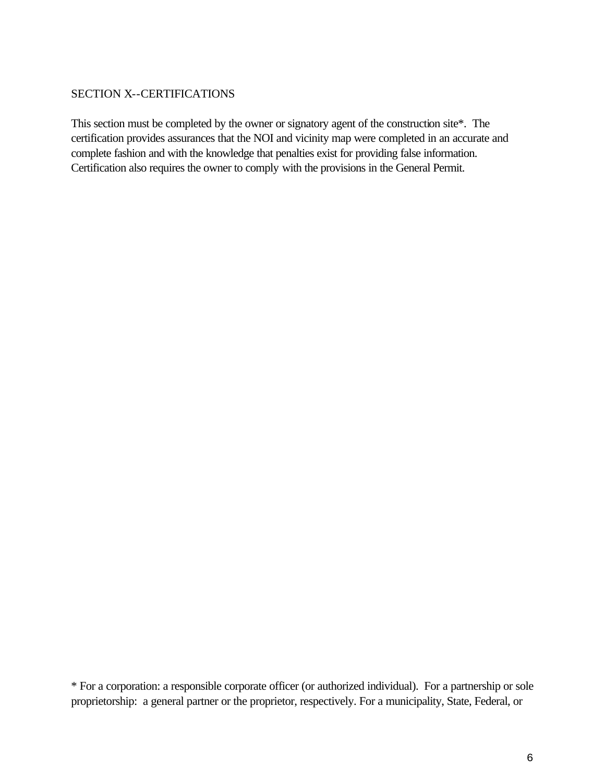#### SECTION X--CERTIFICATIONS

This section must be completed by the owner or signatory agent of the construction site\*. The certification provides assurances that the NOI and vicinity map were completed in an accurate and complete fashion and with the knowledge that penalties exist for providing false information. Certification also requires the owner to comply with the provisions in the General Permit.

\* For a corporation: a responsible corporate officer (or authorized individual). For a partnership or sole proprietorship: a general partner or the proprietor, respectively. For a municipality, State, Federal, or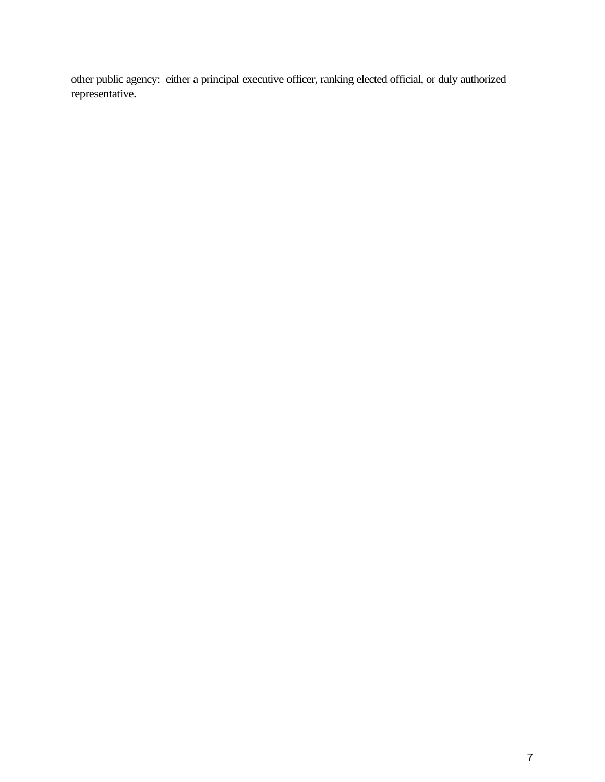other public agency: either a principal executive officer, ranking elected official, or duly authorized representative.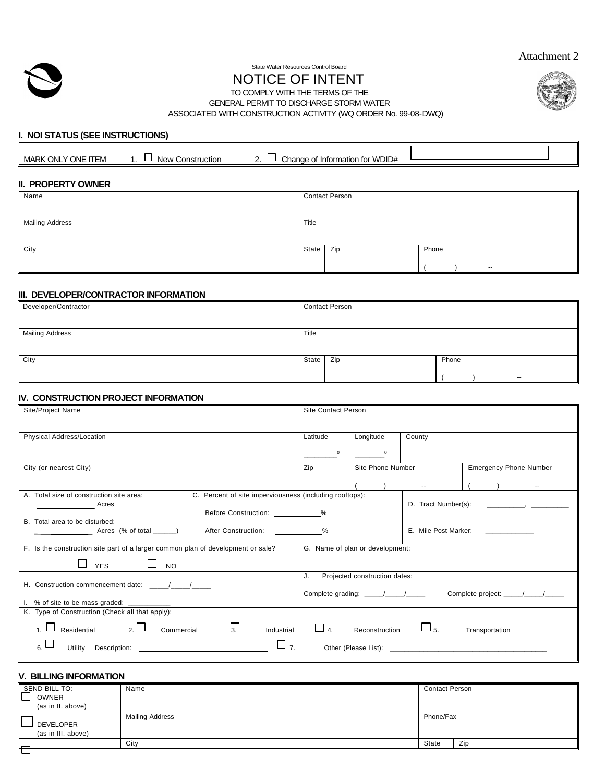



#### State Water Resources Control Board

# NOTICE OF INTENT



GENERAL PERMIT TO DISCHARGE STORM WATER

ASSOCIATED WITH CONSTRUCTION ACTIVITY (WQ ORDER No. 99-08-DWQ)

#### **I. NOI STATUS (SEE INSTRUCTIONS)**

| MARK ONLY ONE ITEM | <b>New Construction</b> | Change of Information for WDID#<br>$\overline{\phantom{a}}$ |  |
|--------------------|-------------------------|-------------------------------------------------------------|--|
|                    |                         |                                                             |  |

#### **II. PROPERTY OWNER**

| Name                   | <b>Contact Person</b> |
|------------------------|-----------------------|
|                        |                       |
| <b>Mailing Address</b> | Title                 |
|                        |                       |
| City                   | Zip<br>Phone<br>State |
|                        | $\sim$                |

#### **III. DEVELOPER/CONTRACTOR INFORMATION**

| Developer/Contractor   | <b>Contact Person</b> |
|------------------------|-----------------------|
|                        |                       |
| <b>Mailing Address</b> | Title                 |
|                        |                       |
| City                   | Zip<br>Phone<br>State |
|                        | $- -$                 |

#### **IV. CONSTRUCTION PROJECT INFORMATION**

| Site/Project Name                                                                                                                                                                                                                                                                                                                                                     | <b>Site Contact Person</b> |                                 |                                                    |                                                                                                                                                                                                                                                  |
|-----------------------------------------------------------------------------------------------------------------------------------------------------------------------------------------------------------------------------------------------------------------------------------------------------------------------------------------------------------------------|----------------------------|---------------------------------|----------------------------------------------------|--------------------------------------------------------------------------------------------------------------------------------------------------------------------------------------------------------------------------------------------------|
| Physical Address/Location                                                                                                                                                                                                                                                                                                                                             | Latitude                   | County<br>Longitude             |                                                    |                                                                                                                                                                                                                                                  |
|                                                                                                                                                                                                                                                                                                                                                                       | $\circ$                    | $\circ$                         |                                                    |                                                                                                                                                                                                                                                  |
| City (or nearest City)                                                                                                                                                                                                                                                                                                                                                | Zip                        |                                 | Site Phone Number<br><b>Emergency Phone Number</b> |                                                                                                                                                                                                                                                  |
|                                                                                                                                                                                                                                                                                                                                                                       |                            |                                 |                                                    |                                                                                                                                                                                                                                                  |
| A. Total size of construction site area:<br>C. Percent of site imperviousness (including rooftops):<br>$\frac{1}{\sqrt{1-\frac{1}{2}}}\frac{1}{\sqrt{1-\frac{1}{2}}}\left(1-\frac{1}{2}\right)$<br>Before Construction: ____________%                                                                                                                                 |                            |                                 |                                                    | D. Tract Number(s): The contract of the contract of the contract of the contract of the contract of the contract of the contract of the contract of the contract of the contract of the contract of the contract of the contra                   |
| B. Total area to be disturbed:<br>After Construction: %                                                                                                                                                                                                                                                                                                               | E. Mile Post Marker:       |                                 |                                                    |                                                                                                                                                                                                                                                  |
| F. Is the construction site part of a larger common plan of development or sale?<br><b>YES</b><br>$\Box$ No                                                                                                                                                                                                                                                           |                            | G. Name of plan or development: |                                                    |                                                                                                                                                                                                                                                  |
| H. Construction commencement date: / /<br>1. % of site to be mass graded: ___________                                                                                                                                                                                                                                                                                 | J.                         | Projected construction dates:   |                                                    |                                                                                                                                                                                                                                                  |
| K. Type of Construction (Check all that apply):<br>1. $\Box$ Residential 2. $\Box$<br>العا<br>Commercial<br>Industrial<br>$\Box$ 7.<br>Utility Description: Weblate Control of the Control of the Control of the Control of the Control of the Control of the Control of the Control of the Control of the Control of the Control of the Control of the Control of th | $\Box$ 4.                  | Reconstruction                  | $\Box$ 5.                                          | Transportation<br>Other (Please List): The contract of the contract of the contract of the contract of the contract of the contract of the contract of the contract of the contract of the contract of the contract of the contract of the contr |

#### **V. BILLING INFORMATION**

| SEND BILL TO:                   | Name                   | <b>Contact Person</b> |     |
|---------------------------------|------------------------|-----------------------|-----|
| OWNER                           |                        |                       |     |
| (as in II. above)               |                        |                       |     |
| DEVELOPER<br>(as in III. above) | <b>Mailing Address</b> | Phone/Fax             |     |
| ౼                               | City                   | State                 | Zip |
|                                 |                        |                       |     |

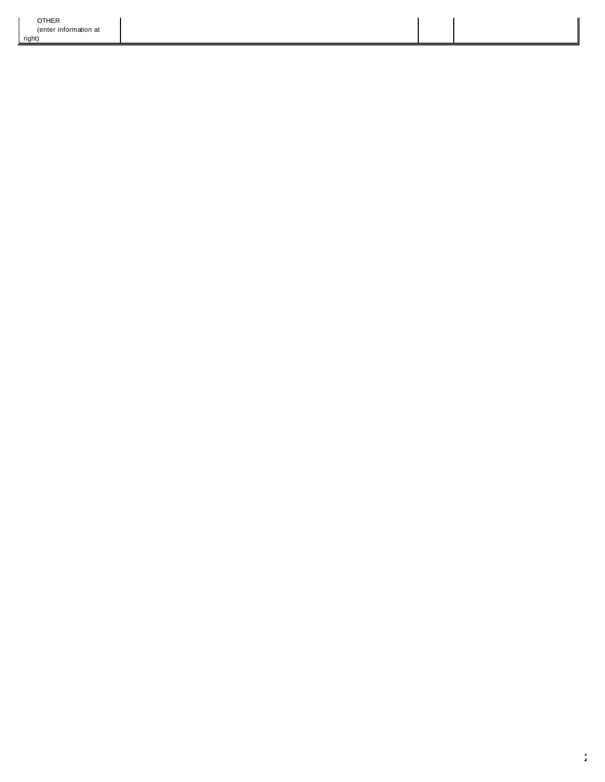$\mathbf{I}$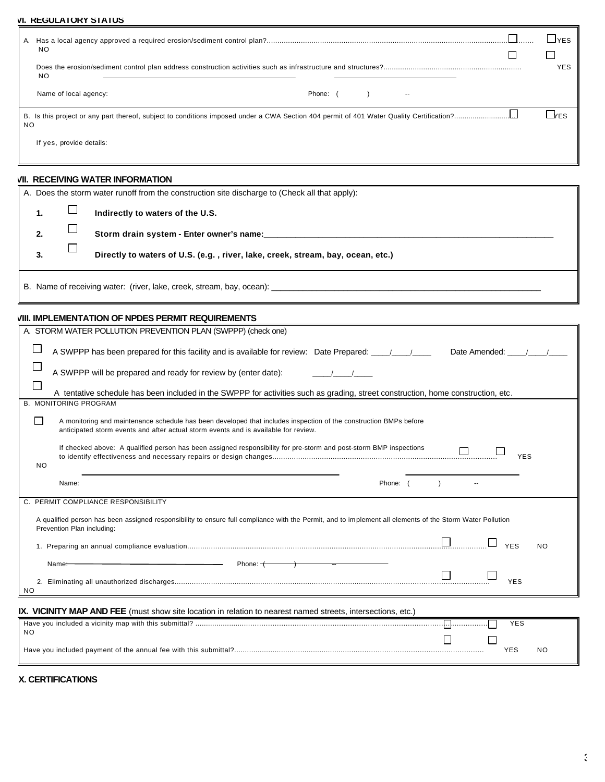| <b>VI. REGULATORY STATUS</b>                                                                                                                                                                                   |                         |                    |
|----------------------------------------------------------------------------------------------------------------------------------------------------------------------------------------------------------------|-------------------------|--------------------|
| NO                                                                                                                                                                                                             |                         | $L$ <sub>YES</sub> |
| <b>NO</b>                                                                                                                                                                                                      | □                       | <b>YES</b>         |
| Name of local agency:<br>Phone: (<br>$\lambda$                                                                                                                                                                 |                         |                    |
| <b>NO</b>                                                                                                                                                                                                      |                         | $\Box$ res         |
| If yes, provide details:                                                                                                                                                                                       |                         |                    |
| <b>VII. RECEIVING WATER INFORMATION</b>                                                                                                                                                                        |                         |                    |
| A. Does the storm water runoff from the construction site discharge to (Check all that apply):                                                                                                                 |                         |                    |
| $\Box$<br>$\mathbf{1}$ .<br>Indirectly to waters of the U.S.                                                                                                                                                   |                         |                    |
| $\sqcup$<br>2.                                                                                                                                                                                                 |                         |                    |
| ⊔<br>3.<br>Directly to waters of U.S. (e.g., river, lake, creek, stream, bay, ocean, etc.)                                                                                                                     |                         |                    |
|                                                                                                                                                                                                                |                         |                    |
| <b>VIII. IMPLEMENTATION OF NPDES PERMIT REQUIREMENTS</b>                                                                                                                                                       |                         |                    |
| A. STORM WATER POLLUTION PREVENTION PLAN (SWPPP) (check one)                                                                                                                                                   |                         |                    |
| A SWPPP has been prepared for this facility and is available for review: Date Prepared: ____________                                                                                                           | Date Amended: \[\]      |                    |
| A SWPPP will be prepared and ready for review by (enter date):                                                                                                                                                 |                         |                    |
| $\mathbf{L}$<br>A tentative schedule has been included in the SWPPP for activities such as grading, street construction, home construction, etc.                                                               |                         |                    |
| <b>B. MONITORING PROGRAM</b>                                                                                                                                                                                   |                         |                    |
| ΙI<br>A monitoring and maintenance schedule has been developed that includes inspection of the construction BMPs before<br>anticipated storm events and after actual storm events and is available for review. |                         |                    |
| If checked above: A qualified person has been assigned responsibility for pre-storm and post-storm BMP inspections<br>NO.                                                                                      | <b>YES</b>              |                    |
| Phone: (<br>Name:                                                                                                                                                                                              |                         |                    |
| C. PERMIT COMPLIANCE RESPONSIBILITY                                                                                                                                                                            |                         |                    |
| A qualified person has been assigned responsibility to ensure full compliance with the Permit, and to implement all elements of the Storm Water Pollution<br>Prevention Plan including:                        |                         |                    |
|                                                                                                                                                                                                                | <b>YES</b><br><b>NO</b> |                    |
| Phone: $+$<br>Name <del>:</del>                                                                                                                                                                                |                         |                    |
|                                                                                                                                                                                                                | <b>YES</b>              |                    |

| IX. VICINITY MAP AND FEE (must show site location in relation to nearest named streets, intersections, etc.) |  |            |                |
|--------------------------------------------------------------------------------------------------------------|--|------------|----------------|
|                                                                                                              |  | <b>YES</b> |                |
| NO.                                                                                                          |  |            |                |
|                                                                                                              |  | YES        | N <sub>C</sub> |

#### **X. CERTIFICATIONS**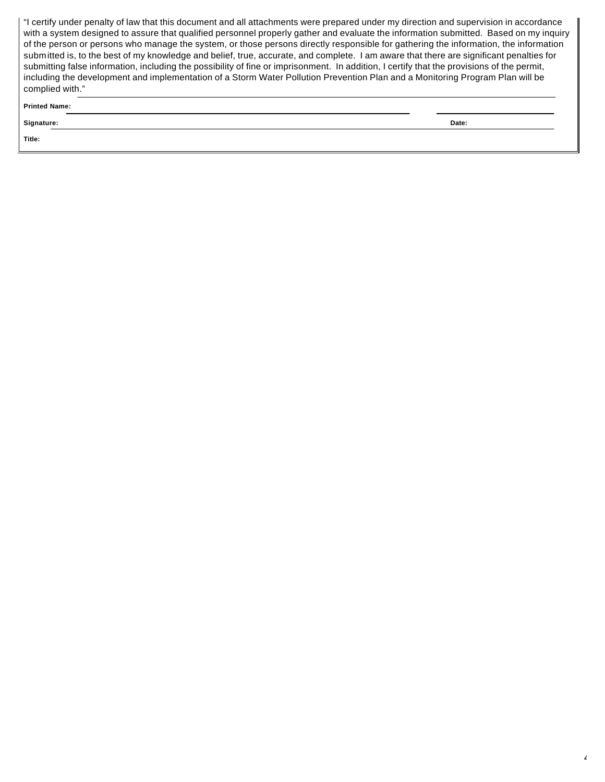"I certify under penalty of law that this document and all attachments were prepared under my direction and supervision in accordance with a system designed to assure that qualified personnel properly gather and evaluate the information submitted. Based on my inquiry of the person or persons who manage the system, or those persons directly responsible for gathering the information, the information submitted is, to the best of my knowledge and belief, true, accurate, and complete. I am aware that there are significant penalties for submitting false information, including the possibility of fine or imprisonment. In addition, I certify that the provisions of the permit, including the development and implementation of a Storm Water Pollution Prevention Plan and a Monitoring Program Plan will be complied with."

**Printed Name:** 

**Signature: Date:**

**Title:**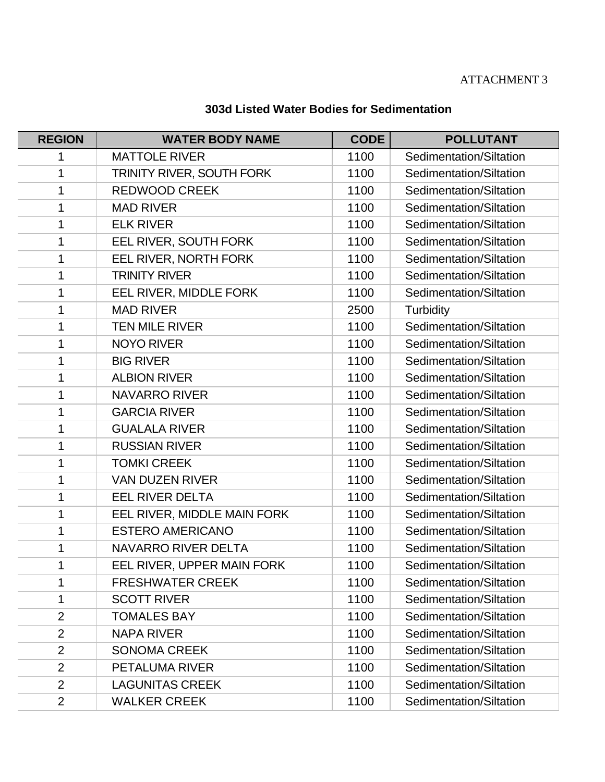# ATTACHMENT 3

# **303d Listed Water Bodies for Sedimentation**

| <b>REGION</b>  | <b>WATER BODY NAME</b>      | <b>CODE</b> | <b>POLLUTANT</b>        |
|----------------|-----------------------------|-------------|-------------------------|
| 1              | <b>MATTOLE RIVER</b>        | 1100        | Sedimentation/Siltation |
| 1              | TRINITY RIVER, SOUTH FORK   | 1100        | Sedimentation/Siltation |
| 1              | <b>REDWOOD CREEK</b>        | 1100        | Sedimentation/Siltation |
| 1              | <b>MAD RIVER</b>            | 1100        | Sedimentation/Siltation |
| 1              | <b>ELK RIVER</b>            | 1100        | Sedimentation/Siltation |
| 1              | EEL RIVER, SOUTH FORK       | 1100        | Sedimentation/Siltation |
| 1              | EEL RIVER, NORTH FORK       | 1100        | Sedimentation/Siltation |
| 1              | <b>TRINITY RIVER</b>        | 1100        | Sedimentation/Siltation |
| 1              | EEL RIVER, MIDDLE FORK      | 1100        | Sedimentation/Siltation |
| 1              | <b>MAD RIVER</b>            | 2500        | Turbidity               |
| 1              | <b>TEN MILE RIVER</b>       | 1100        | Sedimentation/Siltation |
| 1              | <b>NOYO RIVER</b>           | 1100        | Sedimentation/Siltation |
| 1              | <b>BIG RIVER</b>            | 1100        | Sedimentation/Siltation |
| 1              | <b>ALBION RIVER</b>         | 1100        | Sedimentation/Siltation |
| 1              | <b>NAVARRO RIVER</b>        | 1100        | Sedimentation/Siltation |
| 1              | <b>GARCIA RIVER</b>         | 1100        | Sedimentation/Siltation |
| 1              | <b>GUALALA RIVER</b>        | 1100        | Sedimentation/Siltation |
| 1              | <b>RUSSIAN RIVER</b>        | 1100        | Sedimentation/Siltation |
| 1              | <b>TOMKI CREEK</b>          | 1100        | Sedimentation/Siltation |
| 1              | <b>VAN DUZEN RIVER</b>      | 1100        | Sedimentation/Siltation |
| 1              | <b>EEL RIVER DELTA</b>      | 1100        | Sedimentation/Siltation |
| 1              | EEL RIVER, MIDDLE MAIN FORK | 1100        | Sedimentation/Siltation |
| 1              | <b>ESTERO AMERICANO</b>     | 1100        | Sedimentation/Siltation |
| 1              | <b>NAVARRO RIVER DELTA</b>  | 1100        | Sedimentation/Siltation |
| 1              | EEL RIVER, UPPER MAIN FORK  | 1100        | Sedimentation/Siltation |
| 1              | <b>FRESHWATER CREEK</b>     | 1100        | Sedimentation/Siltation |
| 1              | <b>SCOTT RIVER</b>          | 1100        | Sedimentation/Siltation |
| $\overline{2}$ | <b>TOMALES BAY</b>          | 1100        | Sedimentation/Siltation |
| $\overline{2}$ | <b>NAPA RIVER</b>           | 1100        | Sedimentation/Siltation |
| $\overline{2}$ | <b>SONOMA CREEK</b>         | 1100        | Sedimentation/Siltation |
| $\overline{2}$ | <b>PETALUMA RIVER</b>       | 1100        | Sedimentation/Siltation |
| $\overline{2}$ | <b>LAGUNITAS CREEK</b>      | 1100        | Sedimentation/Siltation |
| $\overline{2}$ | <b>WALKER CREEK</b>         | 1100        | Sedimentation/Siltation |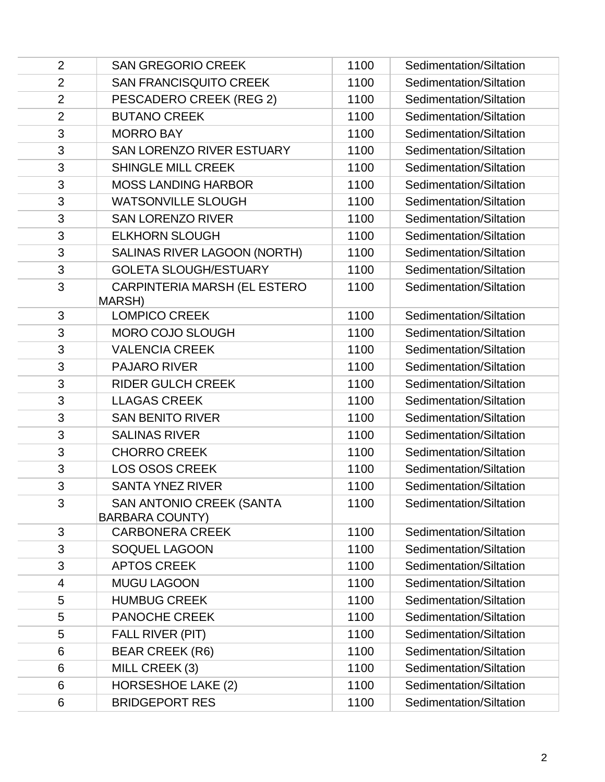| $\overline{2}$ | <b>SAN GREGORIO CREEK</b>                                 | 1100 | Sedimentation/Siltation |
|----------------|-----------------------------------------------------------|------|-------------------------|
| $\overline{2}$ | <b>SAN FRANCISQUITO CREEK</b>                             | 1100 | Sedimentation/Siltation |
| $\overline{2}$ | PESCADERO CREEK (REG 2)                                   | 1100 | Sedimentation/Siltation |
| $\overline{2}$ | <b>BUTANO CREEK</b>                                       | 1100 | Sedimentation/Siltation |
| 3              | <b>MORRO BAY</b>                                          | 1100 | Sedimentation/Siltation |
| 3              | SAN LORENZO RIVER ESTUARY                                 | 1100 | Sedimentation/Siltation |
| 3              | <b>SHINGLE MILL CREEK</b>                                 | 1100 | Sedimentation/Siltation |
| 3              | <b>MOSS LANDING HARBOR</b>                                | 1100 | Sedimentation/Siltation |
| 3              | <b>WATSONVILLE SLOUGH</b>                                 | 1100 | Sedimentation/Siltation |
| 3              | <b>SAN LORENZO RIVER</b>                                  | 1100 | Sedimentation/Siltation |
| 3              | <b>ELKHORN SLOUGH</b>                                     | 1100 | Sedimentation/Siltation |
| 3              | SALINAS RIVER LAGOON (NORTH)                              | 1100 | Sedimentation/Siltation |
| 3              | <b>GOLETA SLOUGH/ESTUARY</b>                              | 1100 | Sedimentation/Siltation |
| 3              | CARPINTERIA MARSH (EL ESTERO<br>MARSH)                    | 1100 | Sedimentation/Siltation |
| 3              | <b>LOMPICO CREEK</b>                                      | 1100 | Sedimentation/Siltation |
| 3              | <b>MORO COJO SLOUGH</b>                                   | 1100 | Sedimentation/Siltation |
| 3              | <b>VALENCIA CREEK</b>                                     | 1100 | Sedimentation/Siltation |
| 3              | <b>PAJARO RIVER</b>                                       | 1100 | Sedimentation/Siltation |
| 3              | <b>RIDER GULCH CREEK</b>                                  | 1100 | Sedimentation/Siltation |
| 3              | <b>LLAGAS CREEK</b>                                       | 1100 | Sedimentation/Siltation |
| 3              | <b>SAN BENITO RIVER</b>                                   | 1100 | Sedimentation/Siltation |
| 3              | <b>SALINAS RIVER</b>                                      | 1100 | Sedimentation/Siltation |
| 3              | <b>CHORRO CREEK</b>                                       | 1100 | Sedimentation/Siltation |
| 3              | <b>LOS OSOS CREEK</b>                                     | 1100 | Sedimentation/Siltation |
| 3              | <b>SANTA YNEZ RIVER</b>                                   | 1100 | Sedimentation/Siltation |
| 3              | <b>SAN ANTONIO CREEK (SANTA</b><br><b>BARBARA COUNTY)</b> | 1100 | Sedimentation/Siltation |
| 3              | <b>CARBONERA CREEK</b>                                    | 1100 | Sedimentation/Siltation |
| 3              | SOQUEL LAGOON                                             | 1100 | Sedimentation/Siltation |
| 3              | <b>APTOS CREEK</b>                                        | 1100 | Sedimentation/Siltation |
| 4              | <b>MUGU LAGOON</b>                                        | 1100 | Sedimentation/Siltation |
| 5              | <b>HUMBUG CREEK</b>                                       | 1100 | Sedimentation/Siltation |
| 5              | <b>PANOCHE CREEK</b>                                      | 1100 | Sedimentation/Siltation |
| 5              | FALL RIVER (PIT)                                          | 1100 | Sedimentation/Siltation |
| 6              | <b>BEAR CREEK (R6)</b>                                    | 1100 | Sedimentation/Siltation |
| 6              | MILL CREEK (3)                                            | 1100 | Sedimentation/Siltation |
| 6              | <b>HORSESHOE LAKE (2)</b>                                 | 1100 | Sedimentation/Siltation |
| 6              | <b>BRIDGEPORT RES</b>                                     | 1100 | Sedimentation/Siltation |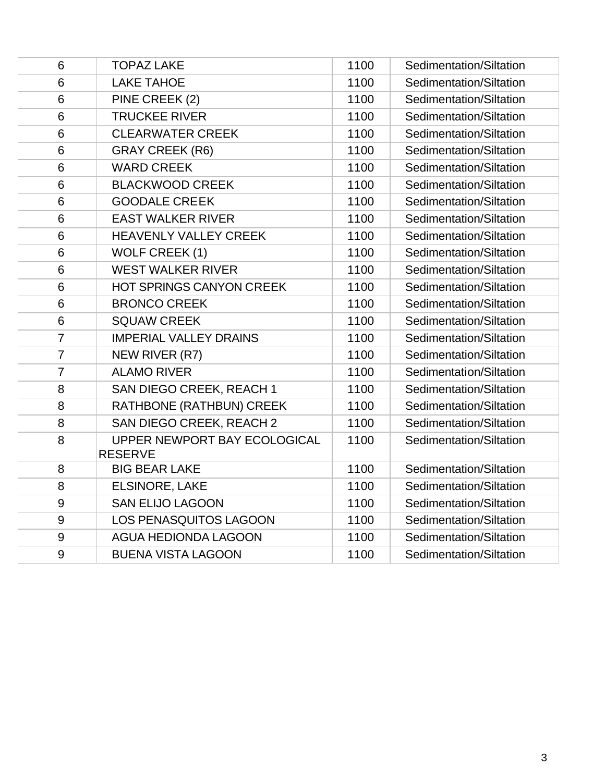| 6              | <b>TOPAZ LAKE</b>                              | 1100 | Sedimentation/Siltation |
|----------------|------------------------------------------------|------|-------------------------|
| 6              | <b>LAKE TAHOE</b>                              | 1100 | Sedimentation/Siltation |
| 6              | PINE CREEK (2)                                 | 1100 | Sedimentation/Siltation |
| 6              | <b>TRUCKEE RIVER</b>                           | 1100 | Sedimentation/Siltation |
| 6              | <b>CLEARWATER CREEK</b>                        | 1100 | Sedimentation/Siltation |
| $6\phantom{1}$ | <b>GRAY CREEK (R6)</b>                         | 1100 | Sedimentation/Siltation |
| $6\phantom{1}$ | <b>WARD CREEK</b>                              | 1100 | Sedimentation/Siltation |
| 6              | <b>BLACKWOOD CREEK</b>                         | 1100 | Sedimentation/Siltation |
| 6              | <b>GOODALE CREEK</b>                           | 1100 | Sedimentation/Siltation |
| 6              | <b>EAST WALKER RIVER</b>                       | 1100 | Sedimentation/Siltation |
| 6              | <b>HEAVENLY VALLEY CREEK</b>                   | 1100 | Sedimentation/Siltation |
| 6              | WOLF CREEK (1)                                 | 1100 | Sedimentation/Siltation |
| 6              | <b>WEST WALKER RIVER</b>                       | 1100 | Sedimentation/Siltation |
| 6              | HOT SPRINGS CANYON CREEK                       | 1100 | Sedimentation/Siltation |
| 6              | <b>BRONCO CREEK</b>                            | 1100 | Sedimentation/Siltation |
| $6\phantom{1}$ | <b>SQUAW CREEK</b>                             | 1100 | Sedimentation/Siltation |
| $\overline{7}$ | <b>IMPERIAL VALLEY DRAINS</b>                  | 1100 | Sedimentation/Siltation |
| $\overline{7}$ | NEW RIVER (R7)                                 | 1100 | Sedimentation/Siltation |
| $\overline{7}$ | <b>ALAMO RIVER</b>                             | 1100 | Sedimentation/Siltation |
| 8              | SAN DIEGO CREEK, REACH 1                       | 1100 | Sedimentation/Siltation |
| 8              | RATHBONE (RATHBUN) CREEK                       | 1100 | Sedimentation/Siltation |
| 8              | SAN DIEGO CREEK, REACH 2                       | 1100 | Sedimentation/Siltation |
| 8              | UPPER NEWPORT BAY ECOLOGICAL<br><b>RESERVE</b> | 1100 | Sedimentation/Siltation |
| 8              | <b>BIG BEAR LAKE</b>                           | 1100 | Sedimentation/Siltation |
| 8              | <b>ELSINORE, LAKE</b>                          | 1100 | Sedimentation/Siltation |
| $9$            | <b>SAN ELIJO LAGOON</b>                        | 1100 | Sedimentation/Siltation |
| 9              | <b>LOS PENASQUITOS LAGOON</b>                  | 1100 | Sedimentation/Siltation |
| $9\,$          | <b>AGUA HEDIONDA LAGOON</b>                    | 1100 | Sedimentation/Siltation |
| 9              | <b>BUENA VISTA LAGOON</b>                      | 1100 | Sedimentation/Siltation |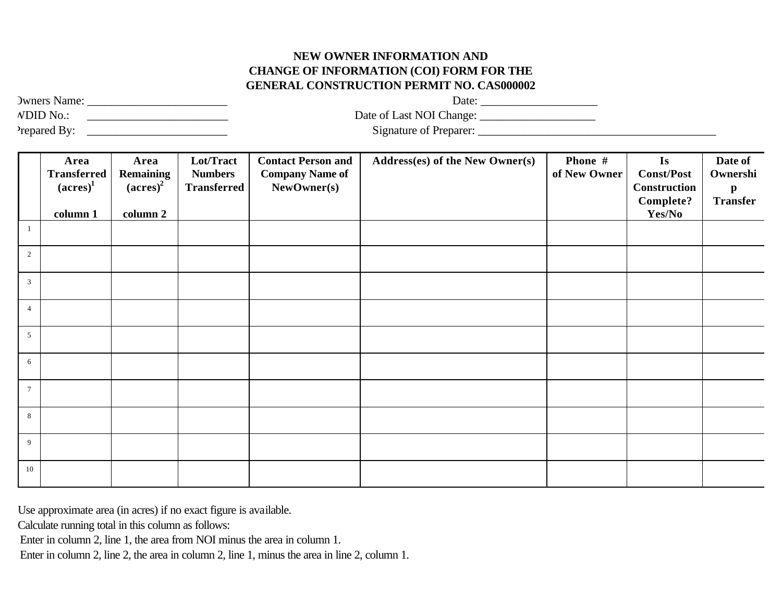### **NEW OWNER INFORMATION AND CHANGE OF INFORMATION (COI) FORM FOR THE GENERAL CONSTRUCTION PERMIT NO. CAS000002**

| <b>Jwners Name:</b> | Date:                    |  |
|---------------------|--------------------------|--|
| <b>NDID</b> No.:    | Date of Last NOI Change: |  |
| Prepared By:        | Signature of Preparer:   |  |

Owners Name: \_\_\_\_\_\_\_\_\_\_\_\_\_\_\_\_\_\_\_\_\_\_\_\_ Date: \_\_\_\_\_\_\_\_\_\_\_\_\_\_\_\_\_\_\_\_

|                 | Area<br><b>Transferred</b><br>$\left(\text{acres}\right)^1$ | Area<br><b>Remaining</b><br>$\left(\text{acres}\right)^2$ | Lot/Tract<br><b>Numbers</b> | <b>Contact Person and</b><br><b>Company Name of</b> | Address(es) of the New Owner(s) | Phone #<br>of New Owner | Is<br><b>Const/Post</b>                 | Date of<br>Ownershi             |
|-----------------|-------------------------------------------------------------|-----------------------------------------------------------|-----------------------------|-----------------------------------------------------|---------------------------------|-------------------------|-----------------------------------------|---------------------------------|
|                 |                                                             |                                                           | <b>Transferred</b>          | NewOwner(s)                                         |                                 |                         | <b>Construction</b><br><b>Complete?</b> | $\mathbf{p}$<br><b>Transfer</b> |
|                 | column 1                                                    | column 2                                                  |                             |                                                     |                                 |                         | Yes/No                                  |                                 |
| -1              |                                                             |                                                           |                             |                                                     |                                 |                         |                                         |                                 |
| $\overline{2}$  |                                                             |                                                           |                             |                                                     |                                 |                         |                                         |                                 |
| 3 <sup>7</sup>  |                                                             |                                                           |                             |                                                     |                                 |                         |                                         |                                 |
| $\overline{4}$  |                                                             |                                                           |                             |                                                     |                                 |                         |                                         |                                 |
| 5 <sup>5</sup>  |                                                             |                                                           |                             |                                                     |                                 |                         |                                         |                                 |
| 6               |                                                             |                                                           |                             |                                                     |                                 |                         |                                         |                                 |
| $7\overline{ }$ |                                                             |                                                           |                             |                                                     |                                 |                         |                                         |                                 |
| 8               |                                                             |                                                           |                             |                                                     |                                 |                         |                                         |                                 |
| 9               |                                                             |                                                           |                             |                                                     |                                 |                         |                                         |                                 |
| 10              |                                                             |                                                           |                             |                                                     |                                 |                         |                                         |                                 |

Use approximate area (in acres) if no exact figure is available.

Calculate running total in this column as follows:

Enter in column 2, line 1, the area from NOI minus the area in column 1.

Enter in column 2, line 2, the area in column 2, line 1, minus the area in line 2, column 1.